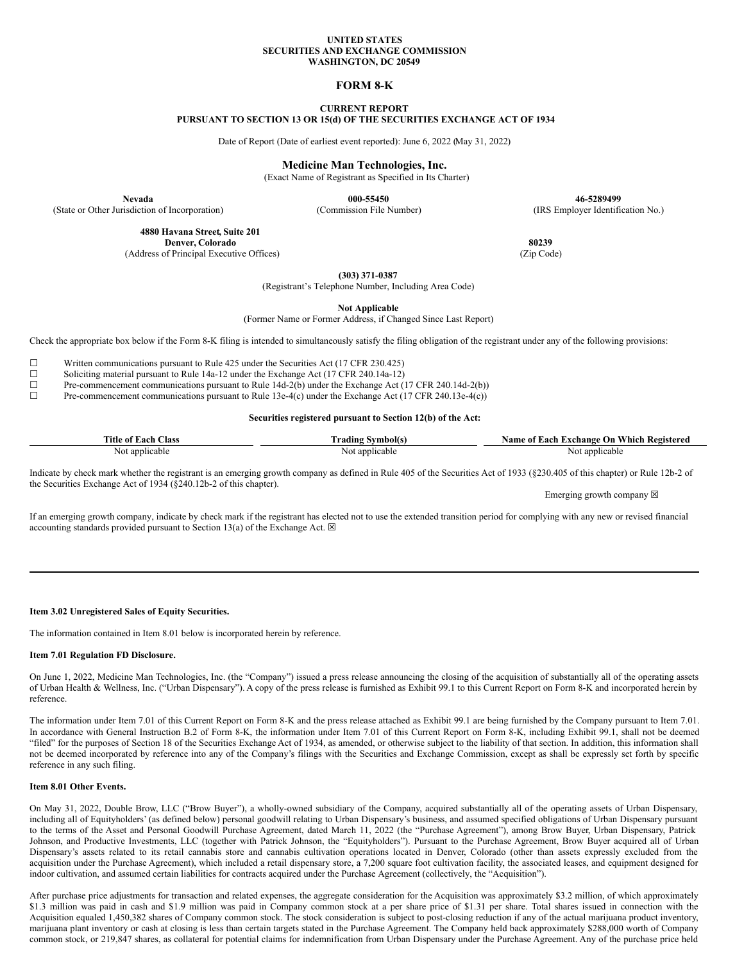#### **UNITED STATES SECURITIES AND EXCHANGE COMMISSION WASHINGTON, DC 20549**

## **FORM 8-K**

# **CURRENT REPORT**

**PURSUANT TO SECTION 13 OR 15(d) OF THE SECURITIES EXCHANGE ACT OF 1934**

Date of Report (Date of earliest event reported): June 6, 2022 (May 31, 2022)

## **Medicine Man Technologies, Inc.**

(Exact Name of Registrant as Specified in Its Charter)

**Nevada 000-55450 46-5289499** (State or Other Jurisdiction of Incorporation) (Commission File Number) (IRS Employer Identification No.)

**4880 Havana Street, Suite 201**

**Denver, Colorado 80239**<br> **80239 (Zip Code) 80239 (Zip Code) 80239** (Address of Principal Executive Offices)

**(303) 371-0387** (Registrant's Telephone Number, Including Area Code)

**Not Applicable**

(Former Name or Former Address, if Changed Since Last Report)

Check the appropriate box below if the Form 8-K filing is intended to simultaneously satisfy the filing obligation of the registrant under any of the following provisions:

 $\Box$  Written communications pursuant to Rule 425 under the Securities Act (17 CFR 230.425) Soliciting material pursuant to Rule 14a-12 under the Exchange Act (17 CFR 240.14a-12)

<del>□</del> Soliciting material pursuant to Rule 14a-12 under the Exchange Act (17 CFR 240.14a-12)<br>Pre-commencement communications pursuant to Rule 14d-2(b) under the Exchange Act (1

 $\Box$  Pre-commencement communications pursuant to Rule 14d-2(b) under the Exchange Act (17 CFR 240.14d-2(b))<br>Pre-commencement communications pursuant to Rule 13e-4(c) under the Exchange Act (17 CFR 240.13e-4(c)) Pre-commencement communications pursuant to Rule 13e-4(c) under the Exchange Act (17 CFR 240.13e-4(c))

#### **Securities registered pursuant to Section 12(b) of the Act:**

| Title of<br>' Each<br>Aass | Symbol(s<br>radıng | ∟Which Registered<br>Name of<br>' Each<br>∟xchange On |
|----------------------------|--------------------|-------------------------------------------------------|
| Not applicable             | applicable         | applicable                                            |

Indicate by check mark whether the registrant is an emerging growth company as defined in Rule 405 of the Securities Act of 1933 (§230.405 of this chapter) or Rule 12b-2 of the Securities Exchange Act of 1934 (§240.12b-2 of this chapter).

Emerging growth company  $\boxtimes$ 

If an emerging growth company, indicate by check mark if the registrant has elected not to use the extended transition period for complying with any new or revised financial accounting standards provided pursuant to Section 13(a) of the Exchange Act.  $\boxtimes$ 

#### **Item 3.02 Unregistered Sales of Equity Securities.**

The information contained in Item 8.01 below is incorporated herein by reference.

#### **Item 7.01 Regulation FD Disclosure.**

On June 1, 2022, Medicine Man Technologies, Inc. (the "Company") issued a press release announcing the closing of the acquisition of substantially all of the operating assets of Urban Health & Wellness, Inc. ("Urban Dispensary"). A copy of the press release is furnished as Exhibit 99.1 to this Current Report on Form 8-K and incorporated herein by reference.

The information under Item 7.01 of this Current Report on Form 8-K and the press release attached as Exhibit 99.1 are being furnished by the Company pursuant to Item 7.01. In accordance with General Instruction B.2 of Form 8-K, the information under Item 7.01 of this Current Report on Form 8-K, including Exhibit 99.1, shall not be deemed "filed" for the purposes of Section 18 of the Securities Exchange Act of 1934, as amended, or otherwise subject to the liability of that section. In addition, this information shall not be deemed incorporated by reference into any of the Company's filings with the Securities and Exchange Commission, except as shall be expressly set forth by specific reference in any such filing.

## **Item 8.01 Other Events.**

On May 31, 2022, Double Brow, LLC ("Brow Buyer"), a wholly-owned subsidiary of the Company, acquired substantially all of the operating assets of Urban Dispensary, including all of Equityholders' (as defined below) personal goodwill relating to Urban Dispensary's business, and assumed specified obligations of Urban Dispensary pursuant to the terms of the Asset and Personal Goodwill Purchase Agreement, dated March 11, 2022 (the "Purchase Agreement"), among Brow Buyer, Urban Dispensary, Patrick Johnson, and Productive Investments, LLC (together with Patrick Johnson, the "Equityholders"). Pursuant to the Purchase Agreement, Brow Buyer acquired all of Urban Dispensary's assets related to its retail cannabis store and cannabis cultivation operations located in Denver, Colorado (other than assets expressly excluded from the acquisition under the Purchase Agreement), which included a retail dispensary store, a 7,200 square foot cultivation facility, the associated leases, and equipment designed for indoor cultivation, and assumed certain liabilities for contracts acquired under the Purchase Agreement (collectively, the "Acquisition").

After purchase price adjustments for transaction and related expenses, the aggregate consideration for the Acquisition was approximately \$3.2 million, of which approximately \$1.3 million was paid in cash and \$1.9 million was paid in Company common stock at a per share price of \$1.31 per share. Total shares issued in connection with the Acquisition equaled 1,450,382 shares of Company common stock. The stock consideration is subject to post-closing reduction if any of the actual marijuana product inventory, marijuana plant inventory or cash at closing is less than certain targets stated in the Purchase Agreement. The Company held back approximately \$288,000 worth of Company common stock, or 219,847 shares, as collateral for potential claims for indemnification from Urban Dispensary under the Purchase Agreement. Any of the purchase price held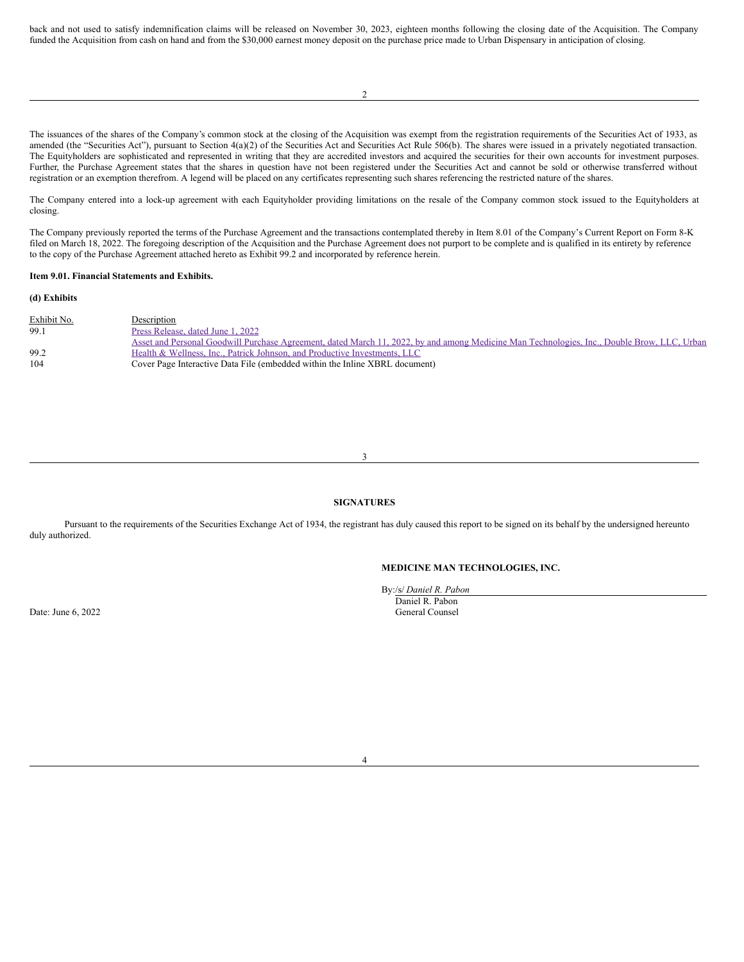back and not used to satisfy indemnification claims will be released on November 30, 2023, eighteen months following the closing date of the Acquisition. The Company funded the Acquisition from cash on hand and from the \$30,000 earnest money deposit on the purchase price made to Urban Dispensary in anticipation of closing.

 $\mathcal{L}$ 

The issuances of the shares of the Company's common stock at the closing of the Acquisition was exempt from the registration requirements of the Securities Act of 1933, as amended (the "Securities Act"), pursuant to Section 4(a)(2) of the Securities Act and Securities Act Rule 506(b). The shares were issued in a privately negotiated transaction. The Equityholders are sophisticated and represented in writing that they are accredited investors and acquired the securities for their own accounts for investment purposes. Further, the Purchase Agreement states that the shares in question have not been registered under the Securities Act and cannot be sold or otherwise transferred without registration or an exemption therefrom. A legend will be placed on any certificates representing such shares referencing the restricted nature of the shares.

The Company entered into a lock-up agreement with each Equityholder providing limitations on the resale of the Company common stock issued to the Equityholders at closing.

The Company previously reported the terms of the Purchase Agreement and the transactions contemplated thereby in Item 8.01 of the Company's Current Report on Form 8-K filed on March 18, 2022. The foregoing description of the Acquisition and the Purchase Agreement does not purport to be complete and is qualified in its entirety by reference to the copy of the Purchase Agreement attached hereto as Exhibit 99.2 and incorporated by reference herein.

## **Item 9.01. Financial Statements and Exhibits.**

## **(d) Exhibits**

| Exhibit No. | Description                                                                                                                                 |
|-------------|---------------------------------------------------------------------------------------------------------------------------------------------|
| 99.1        | Press Release, dated June 1, 2022                                                                                                           |
|             | Asset and Personal Goodwill Purchase Agreement, dated March 11, 2022, by and among Medicine Man Technologies, Inc., Double Brow, LLC, Urban |
| 99.2        | Health & Wellness, Inc., Patrick Johnson, and Productive Investments, LLC                                                                   |
| 104         | Cover Page Interactive Data File (embedded within the Inline XBRL document)                                                                 |

## **SIGNATURES**

Pursuant to the requirements of the Securities Exchange Act of 1934, the registrant has duly caused this report to be signed on its behalf by the undersigned hereunto duly authorized.

## **MEDICINE MAN TECHNOLOGIES, INC.**

By:/s/ *Daniel R. Pabon*

Daniel R. Pabon General Counsel

Date: June 6, 2022

4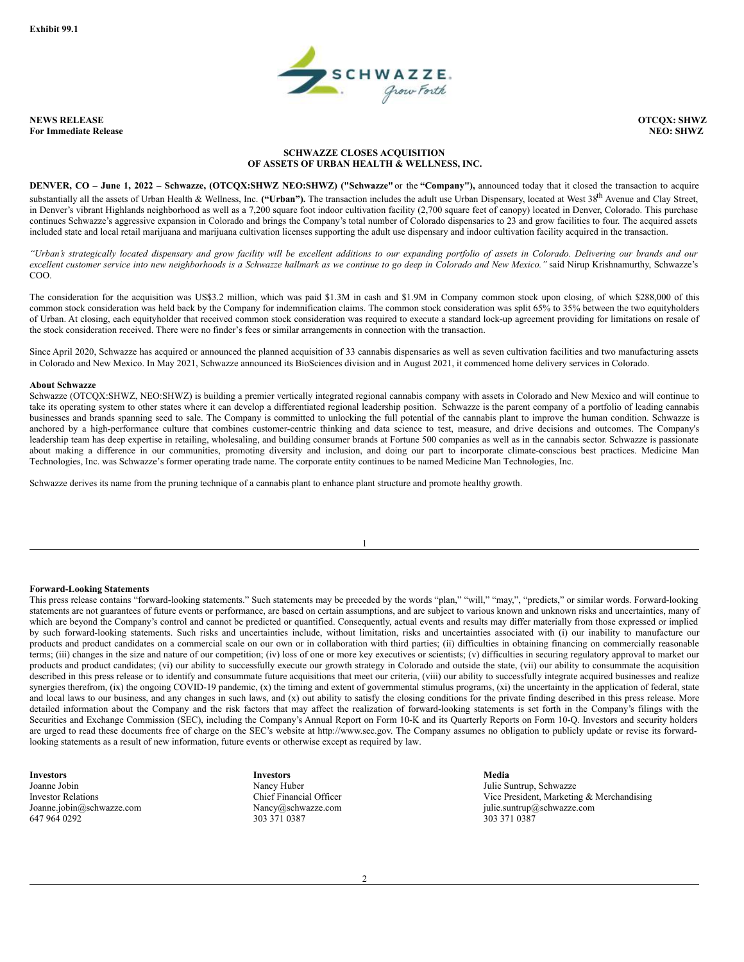

<span id="page-2-0"></span>**NEWS RELEASE OTCQX: SHWZ For Immediate Release NEO: SHWZ**

## **SCHWAZZE CLOSES ACQUISITION OF ASSETS OF URBAN HEALTH & WELLNESS, INC.**

DENVER, CO - June 1, 2022 - Schwazze, (OTCQX:SHWZ NEO:SHWZ) ("Schwazze" or the "Company"), announced today that it closed the transaction to acquire substantially all the assets of Urban Health & Wellness, Inc. ("Urban"). The transaction includes the adult use Urban Dispensary, located at West 38<sup>th</sup> Avenue and Clay Street, in Denver's vibrant Highlands neighborhood as well as a 7,200 square foot indoor cultivation facility (2,700 square feet of canopy) located in Denver, Colorado. This purchase continues Schwazze's aggressive expansion in Colorado and brings the Company's total number of Colorado dispensaries to 23 and grow facilities to four. The acquired assets included state and local retail marijuana and marijuana cultivation licenses supporting the adult use dispensary and indoor cultivation facility acquired in the transaction.

"Urban's strategically located dispensary and grow facility will be excellent additions to our expanding portfolio of assets in Colorado. Delivering our brands and our excellent customer service into new neighborhoods is a Schwazze hallmark as we continue to go deep in Colorado and New Mexico." said Nirup Krishnamurthy, Schwazze's COO.

The consideration for the acquisition was US\$3.2 million, which was paid \$1.3M in cash and \$1.9M in Company common stock upon closing, of which \$288,000 of this common stock consideration was held back by the Company for indemnification claims. The common stock consideration was split 65% to 35% between the two equityholders of Urban. At closing, each equityholder that received common stock consideration was required to execute a standard lock-up agreement providing for limitations on resale of the stock consideration received. There were no finder's fees or similar arrangements in connection with the transaction.

Since April 2020, Schwazze has acquired or announced the planned acquisition of 33 cannabis dispensaries as well as seven cultivation facilities and two manufacturing assets in Colorado and New Mexico. In May 2021, Schwazze announced its BioSciences division and in August 2021, it commenced home delivery services in Colorado.

#### **About Schwazze**

Schwazze (OTCQX:SHWZ, NEO:SHWZ) is building a premier vertically integrated regional cannabis company with assets in Colorado and New Mexico and will continue to take its operating system to other states where it can develop a differentiated regional leadership position. Schwazze is the parent company of a portfolio of leading cannabis businesses and brands spanning seed to sale. The Company is committed to unlocking the full potential of the cannabis plant to improve the human condition. Schwazze is anchored by a high-performance culture that combines customer-centric thinking and data science to test, measure, and drive decisions and outcomes. The Company's leadership team has deep expertise in retailing, wholesaling, and building consumer brands at Fortune 500 companies as well as in the cannabis sector. Schwazze is passionate about making a difference in our communities, promoting diversity and inclusion, and doing our part to incorporate climate-conscious best practices. Medicine Man Technologies, Inc. was Schwazze's former operating trade name. The corporate entity continues to be named Medicine Man Technologies, Inc.

1

Schwazze derives its name from the pruning technique of a cannabis plant to enhance plant structure and promote healthy growth.

#### **Forward-Looking Statements**

This press release contains "forward-looking statements." Such statements may be preceded by the words "plan," "will," "may,", "predicts," or similar words. Forward-looking statements are not guarantees of future events or performance, are based on certain assumptions, and are subject to various known and unknown risks and uncertainties, many of which are beyond the Company's control and cannot be predicted or quantified. Consequently, actual events and results may differ materially from those expressed or implied by such forward-looking statements. Such risks and uncertainties include, without limitation, risks and uncertainties associated with (i) our inability to manufacture our products and product candidates on a commercial scale on our own or in collaboration with third parties; (ii) difficulties in obtaining financing on commercially reasonable terms; (iii) changes in the size and nature of our competition; (iv) loss of one or more key executives or scientists; (v) difficulties in securing regulatory approval to market our products and product candidates; (vi) our ability to successfully execute our growth strategy in Colorado and outside the state, (vii) our ability to consummate the acquisition described in this press release or to identify and consummate future acquisitions that meet our criteria, (viii) our ability to successfully integrate acquired businesses and realize synergies therefrom, (ix) the ongoing COVID-19 pandemic, (x) the timing and extent of governmental stimulus programs, (xi) the uncertainty in the application of federal, state and local laws to our business, and any changes in such laws, and (x) out ability to satisfy the closing conditions for the private finding described in this press release. More detailed information about the Company and the risk factors that may affect the realization of forward-looking statements is set forth in the Company's filings with the Securities and Exchange Commission (SEC), including the Company's Annual Report on Form 10-K and its Quarterly Reports on Form 10-Q. Investors and security holders are urged to read these documents free of charge on the SEC's website at http://www.sec.gov. The Company assumes no obligation to publicly update or revise its forwardlooking statements as a result of new information, future events or otherwise except as required by law.

**Investors** Joanne Jobin Investor Relations Joanne.jobin@schwazze.com 647 964 0292

**Investors** Nancy Huber Chief Financial Officer Nancy@schwazze.com 303 371 0387

**Media** Julie Suntrup, Schwazze Vice President, Marketing & Merchandising julie.suntrup@schwazze.com 303 371 0387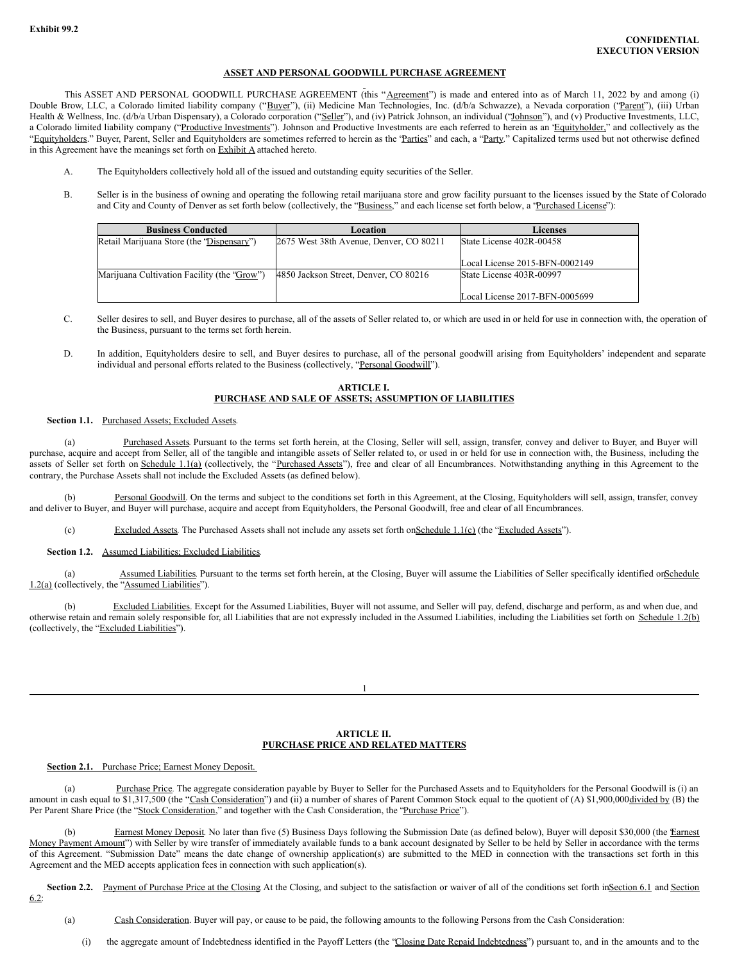## **ASSET AND PERSONAL GOODWILL PURCHASE AGREEMENT**

This ASSET AND PERSONAL GOODWILL PURCHASE AGREEMENT (this "Agreement") is made and entered into as of March 11, 2022 by and among (i) Double Brow, LLC, a Colorado limited liability company ("Buyer"), (ii) Medicine Man Technologies, Inc. (d/b/a Schwazze), a Nevada corporation ("Parent"), (iii) Urban Health & Wellness, Inc. (d/b/a Urban Dispensary), a Colorado corporation ("Seller"), and (iv) Patrick Johnson, an individual ("Johnson"), and (v) Productive Investments, LLC, a Colorado limited liability company ("Productive Investments"). Johnson and Productive Investments are each referred to herein as an 'Equityholder," and collectively as the "Equityholders." Buyer, Parent, Seller and Equityholders are sometimes referred to herein as the 'Parties" and each, a "Party." Capitalized terms used but not otherwise defined in this Agreement have the meanings set forth on Exhibit A attached hereto.

- A. The Equityholders collectively hold all of the issued and outstanding equity securities of the Seller.
- B. Seller is in the business of owning and operating the following retail marijuana store and grow facility pursuant to the licenses issued by the State of Colorado and City and County of Denver as set forth below (collectively, the "Business," and each license set forth below, a "Purchased License"):

| <b>Business Conducted</b>                   | Location                                | <b>Licenses</b>                |
|---------------------------------------------|-----------------------------------------|--------------------------------|
| Retail Marijuana Store (the 'Dispensary'')  | 2675 West 38th Avenue, Denver, CO 80211 | State License 402R-00458       |
|                                             |                                         | Local License 2015-BFN-0002149 |
| Marijuana Cultivation Facility (the "Grow") | 4850 Jackson Street, Denver, CO 80216   | State License 403R-00997       |
|                                             |                                         | Local License 2017-BFN-0005699 |

- C. Seller desires to sell, and Buyer desires to purchase, all of the assets of Seller related to, or which are used in or held for use in connection with, the operation of the Business, pursuant to the terms set forth herein.
- D. In addition, Equityholders desire to sell, and Buyer desires to purchase, all of the personal goodwill arising from Equityholders' independent and separate individual and personal efforts related to the Business (collectively, "Personal Goodwill").

## **ARTICLE I. PURCHASE AND SALE OF ASSETS; ASSUMPTION OF LIABILITIES**

## **Section 1.1.** Purchased Assets; Excluded Assets.

(a) Purchased Assets*.* Pursuant to the terms set forth herein, at the Closing, Seller will sell, assign, transfer, convey and deliver to Buyer, and Buyer will purchase, acquire and accept from Seller, all of the tangible and intangible assets of Seller related to, or used in or held for use in connection with, the Business, including the assets of Seller set forth on Schedule 1.1(a) (collectively, the "Purchased Assets"), free and clear of all Encumbrances. Notwithstanding anything in this Agreement to the contrary, the Purchase Assets shall not include the Excluded Assets (as defined below).

(b) Personal Goodwill. On the terms and subject to the conditions set forth in this Agreement, at the Closing, Equityholders will sell, assign, transfer, convey and deliver to Buyer, and Buyer will purchase, acquire and accept from Equityholders, the Personal Goodwill, free and clear of all Encumbrances.

(c) Excluded Assets*.* The Purchased Assets shall not include any assets set forth onSchedule 1.1(c) (the "Excluded Assets").

#### **Section 1.2.** Assumed Liabilities; Excluded Liabilities.

(a) Assumed Liabilities. Pursuant to the terms set forth herein, at the Closing, Buyer will assume the Liabilities of Seller specifically identified onSchedule 1.2(a) (collectively, the "Assumed Liabilities").

(b) Excluded Liabilities. Except for the Assumed Liabilities, Buyer will not assume, and Seller will pay, defend, discharge and perform, as and when due, and otherwise retain and remain solely responsible for, all Liabilities that are not expressly included in the Assumed Liabilities, including the Liabilities set forth on Schedule 1.2(b) (collectively, the "Excluded Liabilities").

1

## **ARTICLE II. PURCHASE PRICE AND RELATED MATTERS**

## **Section 2.1.** Purchase Price; Earnest Money Deposit.

(a) Purchase Price*.* The aggregate consideration payable by Buyer to Seller for the Purchased Assets and to Equityholders for the Personal Goodwill is (i) an amount in cash equal to \$1,317,500 (the "Cash Consideration") and (ii) a number of shares of Parent Common Stock equal to the quotient of (A) \$1,900,000divided by (B) the Per Parent Share Price (the "Stock Consideration," and together with the Cash Consideration, the "Purchase Price").

(b) Earnest Money Deposit. No later than five (5) Business Days following the Submission Date (as defined below), Buyer will deposit \$30,000 (the Earnest Money Payment Amount") with Seller by wire transfer of immediately available funds to a bank account designated by Seller to be held by Seller in accordance with the terms of this Agreement. "Submission Date" means the date change of ownership application(s) are submitted to the MED in connection with the transactions set forth in this Agreement and the MED accepts application fees in connection with such application(s).

Section 2.2. Payment of Purchase Price at the Closing At the Closing, and subject to the satisfaction or waiver of all of the conditions set forth inSection 6.1 and Section 6.2:

(a) Cash Consideration. Buyer will pay, or cause to be paid, the following amounts to the following Persons from the Cash Consideration:

(i) the aggregate amount of Indebtedness identified in the Payoff Letters (the "Closing Date Repaid Indebtedness") pursuant to, and in the amounts and to the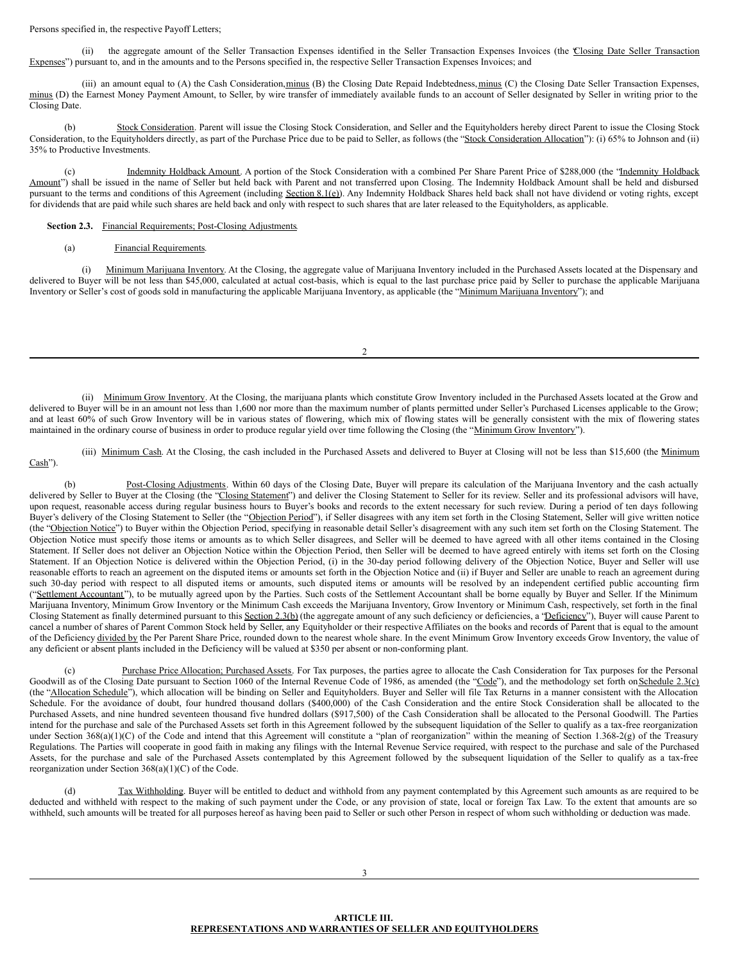Persons specified in, the respective Payoff Letters;

(ii) the aggregate amount of the Seller Transaction Expenses identified in the Seller Transaction Expenses Invoices (the Closing Date Seller Transaction Expenses") pursuant to, and in the amounts and to the Persons specified in, the respective Seller Transaction Expenses Invoices; and

(iii) an amount equal to (A) the Cash Consideration, minus (B) the Closing Date Repaid Indebtedness, minus (C) the Closing Date Seller Transaction Expenses, minus (D) the Earnest Money Payment Amount, to Seller, by wire transfer of immediately available funds to an account of Seller designated by Seller in writing prior to the Closing Date.

(b) Stock Consideration. Parent will issue the Closing Stock Consideration, and Seller and the Equityholders hereby direct Parent to issue the Closing Stock Consideration, to the Equityholders directly, as part of the Purchase Price due to be paid to Seller, as follows (the "Stock Consideration Allocation"): (i) 65% to Johnson and (ii) 35% to Productive Investments.

(c) Indemnity Holdback Amount. A portion of the Stock Consideration with a combined Per Share Parent Price of \$288,000 (the "Indemnity Holdback Amount") shall be issued in the name of Seller but held back with Parent and not transferred upon Closing. The Indemnity Holdback Amount shall be held and disbursed pursuant to the terms and conditions of this Agreement (including Section 8.1(e)). Any Indemnity Holdback Shares held back shall not have dividend or voting rights, except for dividends that are paid while such shares are held back and only with respect to such shares that are later released to the Equityholders, as applicable.

#### **Section 2.3.** Financial Requirements; Post-Closing Adjustments*.*

#### (a) Financial Requirements.

(i) Minimum Marijuana Inventory. At the Closing, the aggregate value of Marijuana Inventory included in the Purchased Assets located at the Dispensary and delivered to Buyer will be not less than \$45,000, calculated at actual cost-basis, which is equal to the last purchase price paid by Seller to purchase the applicable Marijuana Inventory or Seller's cost of goods sold in manufacturing the applicable Marijuana Inventory, as applicable (the "Minimum Marijuana Inventory"); and

2

(ii) Minimum Grow Inventory. At the Closing, the marijuana plants which constitute Grow Inventory included in the Purchased Assets located at the Grow and delivered to Buyer will be in an amount not less than 1,600 nor more than the maximum number of plants permitted under Seller's Purchased Licenses applicable to the Grow; and at least 60% of such Grow Inventory will be in various states of flowering, which mix of flowing states will be generally consistent with the mix of flowering states maintained in the ordinary course of business in order to produce regular yield over time following the Closing (the "Minimum Grow Inventory").

(iii) Minimum Cash. At the Closing, the cash included in the Purchased Assets and delivered to Buyer at Closing will not be less than \$15,600 (the Minimum Cash").

(b) Post-Closing Adjustments. Within 60 days of the Closing Date, Buyer will prepare its calculation of the Marijuana Inventory and the cash actually delivered by Seller to Buyer at the Closing (the "Closing Statement") and deliver the Closing Statement to Seller for its review. Seller and its professional advisors will have, upon request, reasonable access during regular business hours to Buyer's books and records to the extent necessary for such review. During a period of ten days following Buyer's delivery of the Closing Statement to Seller (the "Objection Period"), if Seller disagrees with any item set forth in the Closing Statement, Seller will give written notice (the "Objection Notice") to Buyer within the Objection Period, specifying in reasonable detail Seller's disagreement with any such item set forth on the Closing Statement. The Objection Notice must specify those items or amounts as to which Seller disagrees, and Seller will be deemed to have agreed with all other items contained in the Closing Statement. If Seller does not deliver an Objection Notice within the Objection Period, then Seller will be deemed to have agreed entirely with items set forth on the Closing Statement. If an Objection Notice is delivered within the Objection Period, (i) in the 30-day period following delivery of the Objection Notice, Buyer and Seller will use reasonable efforts to reach an agreement on the disputed items or amounts set forth in the Objection Notice and (ii) if Buyer and Seller are unable to reach an agreement during such 30-day period with respect to all disputed items or amounts, such disputed items or amounts will be resolved by an independent certified public accounting firm ("Settlement Accountant"), to be mutually agreed upon by the Parties. Such costs of the Settlement Accountant shall be borne equally by Buyer and Seller. If the Minimum Marijuana Inventory, Minimum Grow Inventory or the Minimum Cash exceeds the Marijuana Inventory, Grow Inventory or Minimum Cash, respectively, set forth in the final Closing Statement as finally determined pursuant to this Section 2.3(b) (the aggregate amount of any such deficiency or deficiencies, a "Deficiency"), Buyer will cause Parent to cancel a number of shares of Parent Common Stock held by Seller, any Equityholder or their respective Affiliates on the books and records of Parent that is equal to the amount of the Deficiency divided by the Per Parent Share Price, rounded down to the nearest whole share. In the event Minimum Grow Inventory exceeds Grow Inventory, the value of any deficient or absent plants included in the Deficiency will be valued at \$350 per absent or non-conforming plant.

(c) Purchase Price Allocation; Purchased Assets. For Tax purposes, the parties agree to allocate the Cash Consideration for Tax purposes for the Personal Goodwill as of the Closing Date pursuant to Section 1060 of the Internal Revenue Code of 1986, as amended (the "Code"), and the methodology set forth on Schedule 2.3(c) (the "Allocation Schedule"), which allocation will be binding on Seller and Equityholders. Buyer and Seller will file Tax Returns in a manner consistent with the Allocation Schedule. For the avoidance of doubt, four hundred thousand dollars (\$400,000) of the Cash Consideration and the entire Stock Consideration shall be allocated to the Purchased Assets, and nine hundred seventeen thousand five hundred dollars (\$917,500) of the Cash Consideration shall be allocated to the Personal Goodwill. The Parties intend for the purchase and sale of the Purchased Assets set forth in this Agreement followed by the subsequent liquidation of the Seller to qualify as a tax-free reorganization under Section 368(a)(1)(C) of the Code and intend that this Agreement will constitute a "plan of reorganization" within the meaning of Section 1.368-2(g) of the Treasury Regulations. The Parties will cooperate in good faith in making any filings with the Internal Revenue Service required, with respect to the purchase and sale of the Purchased Assets, for the purchase and sale of the Purchased Assets contemplated by this Agreement followed by the subsequent liquidation of the Seller to qualify as a tax-free reorganization under Section 368(a)(1)(C) of the Code.

(d) Tax Withholding. Buyer will be entitled to deduct and withhold from any payment contemplated by this Agreement such amounts as are required to be deducted and withheld with respect to the making of such payment under the Code, or any provision of state, local or foreign Tax Law. To the extent that amounts are so withheld, such amounts will be treated for all purposes hereof as having been paid to Seller or such other Person in respect of whom such withholding or deduction was made.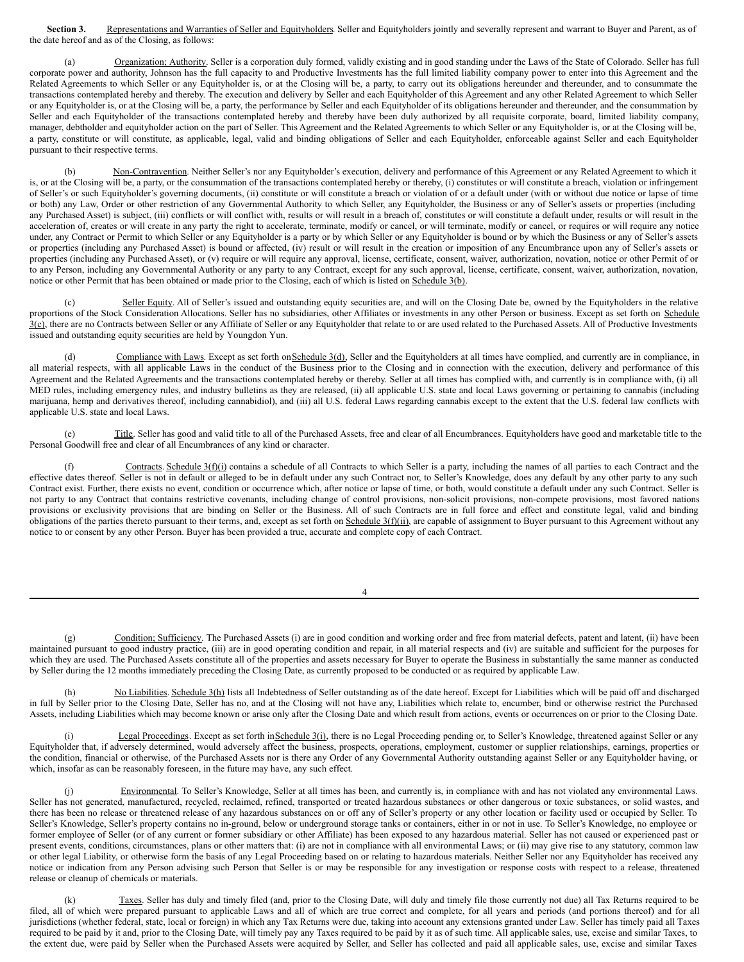Section 3. Representations and Warranties of Seller and Equityholders. Seller and Equityholders jointly and severally represent and warrant to Buyer and Parent, as of the date hereof and as of the Closing, as follows:

(a) Organization; Authority. Seller is a corporation duly formed, validly existing and in good standing under the Laws of the State of Colorado. Seller has full corporate power and authority, Johnson has the full capacity to and Productive Investments has the full limited liability company power to enter into this Agreement and the Related Agreements to which Seller or any Equityholder is, or at the Closing will be, a party, to carry out its obligations hereunder and thereunder, and to consummate the transactions contemplated hereby and thereby. The execution and delivery by Seller and each Equityholder of this Agreement and any other Related Agreement to which Seller or any Equityholder is, or at the Closing will be, a party, the performance by Seller and each Equityholder of its obligations hereunder and thereunder, and the consummation by Seller and each Equityholder of the transactions contemplated hereby and thereby have been duly authorized by all requisite corporate, board, limited liability company, manager, debtholder and equityholder action on the part of Seller. This Agreement and the Related Agreements to which Seller or any Equityholder is, or at the Closing will be, a party, constitute or will constitute, as applicable, legal, valid and binding obligations of Seller and each Equityholder, enforceable against Seller and each Equityholder pursuant to their respective terms.

(b) Non-Contravention. Neither Seller's nor any Equityholder's execution, delivery and performance of this Agreement or any Related Agreement to which it is, or at the Closing will be, a party, or the consummation of the transactions contemplated hereby or thereby, (i) constitutes or will constitute a breach, violation or infringement of Seller's or such Equityholder's governing documents, (ii) constitute or will constitute a breach or violation of or a default under (with or without due notice or lapse of time or both) any Law, Order or other restriction of any Governmental Authority to which Seller, any Equityholder, the Business or any of Seller's assets or properties (including any Purchased Asset) is subject, (iii) conflicts or will conflict with, results or will result in a breach of, constitutes or will constitute a default under, results or will result in the acceleration of, creates or will create in any party the right to accelerate, terminate, modify or cancel, or will terminate, modify or cancel, or requires or will require any notice under, any Contract or Permit to which Seller or any Equityholder is a party or by which Seller or any Equityholder is bound or by which the Business or any of Seller's assets or properties (including any Purchased Asset) is bound or affected, (iv) result or will result in the creation or imposition of any Encumbrance upon any of Seller's assets or properties (including any Purchased Asset), or (v) require or will require any approval, license, certificate, consent, waiver, authorization, novation, notice or other Permit of or to any Person, including any Governmental Authority or any party to any Contract, except for any such approval, license, certificate, consent, waiver, authorization, novation, notice or other Permit that has been obtained or made prior to the Closing, each of which is listed on Schedule 3(b).

(c) Seller Equity. All of Seller's issued and outstanding equity securities are, and will on the Closing Date be, owned by the Equityholders in the relative proportions of the Stock Consideration Allocations. Seller has no subsidiaries, other Affiliates or investments in any other Person or business. Except as set forth on Schedule  $\frac{3(c)}{c}$ , there are no Contracts between Seller or any Affiliate of Seller or any Equityholder that relate to or are used related to the Purchased Assets. All of Productive Investments issued and outstanding equity securities are held by Youngdon Yun.

Compliance with Laws. Except as set forth on Schedule 3(d), Seller and the Equityholders at all times have complied, and currently are in compliance, in all material respects, with all applicable Laws in the conduct of the Business prior to the Closing and in connection with the execution, delivery and performance of this Agreement and the Related Agreements and the transactions contemplated hereby or thereby. Seller at all times has complied with, and currently is in compliance with, (i) all MED rules, including emergency rules, and industry bulletins as they are released, (ii) all applicable U.S. state and local Laws governing or pertaining to cannabis (including marijuana, hemp and derivatives thereof, including cannabidiol), and (iii) all U.S. federal Laws regarding cannabis except to the extent that the U.S. federal law conflicts with applicable U.S. state and local Laws.

(e) Title. Seller has good and valid title to all of the Purchased Assets, free and clear of all Encumbrances. Equityholders have good and marketable title to the Personal Goodwill free and clear of all Encumbrances of any kind or character.

(f) Contracts. Schedule 3(f)(i) contains a schedule of all Contracts to which Seller is a party, including the names of all parties to each Contract and the effective dates thereof. Seller is not in default or alleged to be in default under any such Contract nor, to Seller's Knowledge, does any default by any other party to any such Contract exist. Further, there exists no event, condition or occurrence which, after notice or lapse of time, or both, would constitute a default under any such Contract. Seller is not party to any Contract that contains restrictive covenants, including change of control provisions, non-solicit provisions, non-compete provisions, most favored nations provisions or exclusivity provisions that are binding on Seller or the Business. All of such Contracts are in full force and effect and constitute legal, valid and binding obligations of the parties thereto pursuant to their terms, and, except as set forth on Schedule 3(f)(ii), are capable of assignment to Buyer pursuant to this Agreement without any notice to or consent by any other Person. Buyer has been provided a true, accurate and complete copy of each Contract.

4

(g) Condition; Sufficiency. The Purchased Assets (i) are in good condition and working order and free from material defects, patent and latent, (ii) have been maintained pursuant to good industry practice, (iii) are in good operating condition and repair, in all material respects and (iv) are suitable and sufficient for the purposes for which they are used. The Purchased Assets constitute all of the properties and assets necessary for Buyer to operate the Business in substantially the same manner as conducted by Seller during the 12 months immediately preceding the Closing Date, as currently proposed to be conducted or as required by applicable Law.

(h) No Liabilities. Schedule 3(h) lists all Indebtedness of Seller outstanding as of the date hereof. Except for Liabilities which will be paid off and discharged in full by Seller prior to the Closing Date, Seller has no, and at the Closing will not have any, Liabilities which relate to, encumber, bind or otherwise restrict the Purchased Assets, including Liabilities which may become known or arise only after the Closing Date and which result from actions, events or occurrences on or prior to the Closing Date.

Legal Proceedings. Except as set forth inSchedule 3(i), there is no Legal Proceeding pending or, to Seller's Knowledge, threatened against Seller or any Equityholder that, if adversely determined, would adversely affect the business, prospects, operations, employment, customer or supplier relationships, earnings, properties or the condition, financial or otherwise, of the Purchased Assets nor is there any Order of any Governmental Authority outstanding against Seller or any Equityholder having, or which, insofar as can be reasonably foreseen, in the future may have, any such effect.

Environmental. To Seller's Knowledge, Seller at all times has been, and currently is, in compliance with and has not violated any environmental Laws. Seller has not generated, manufactured, recycled, reclaimed, refined, transported or treated hazardous substances or other dangerous or toxic substances, or solid wastes, and there has been no release or threatened release of any hazardous substances on or off any of Seller's property or any other location or facility used or occupied by Seller. To Seller's Knowledge, Seller's property contains no in-ground, below or underground storage tanks or containers, either in or not in use. To Seller's Knowledge, no employee or former employee of Seller (or of any current or former subsidiary or other Affiliate) has been exposed to any hazardous material. Seller has not caused or experienced past or present events, conditions, circumstances, plans or other matters that: (i) are not in compliance with all environmental Laws; or (ii) may give rise to any statutory, common law or other legal Liability, or otherwise form the basis of any Legal Proceeding based on or relating to hazardous materials. Neither Seller nor any Equityholder has received any notice or indication from any Person advising such Person that Seller is or may be responsible for any investigation or response costs with respect to a release, threatened release or cleanup of chemicals or materials.

Taxes. Seller has duly and timely filed (and, prior to the Closing Date, will duly and timely file those currently not due) all Tax Returns required to be filed, all of which were prepared pursuant to applicable Laws and all of which are true correct and complete, for all years and periods (and portions thereof) and for all jurisdictions (whether federal, state, local or foreign) in which any Tax Returns were due, taking into account any extensions granted under Law. Seller has timely paid all Taxes required to be paid by it and, prior to the Closing Date, will timely pay any Taxes required to be paid by it as of such time. All applicable sales, use, excise and similar Taxes, to the extent due, were paid by Seller when the Purchased Assets were acquired by Seller, and Seller has collected and paid all applicable sales, use, excise and similar Taxes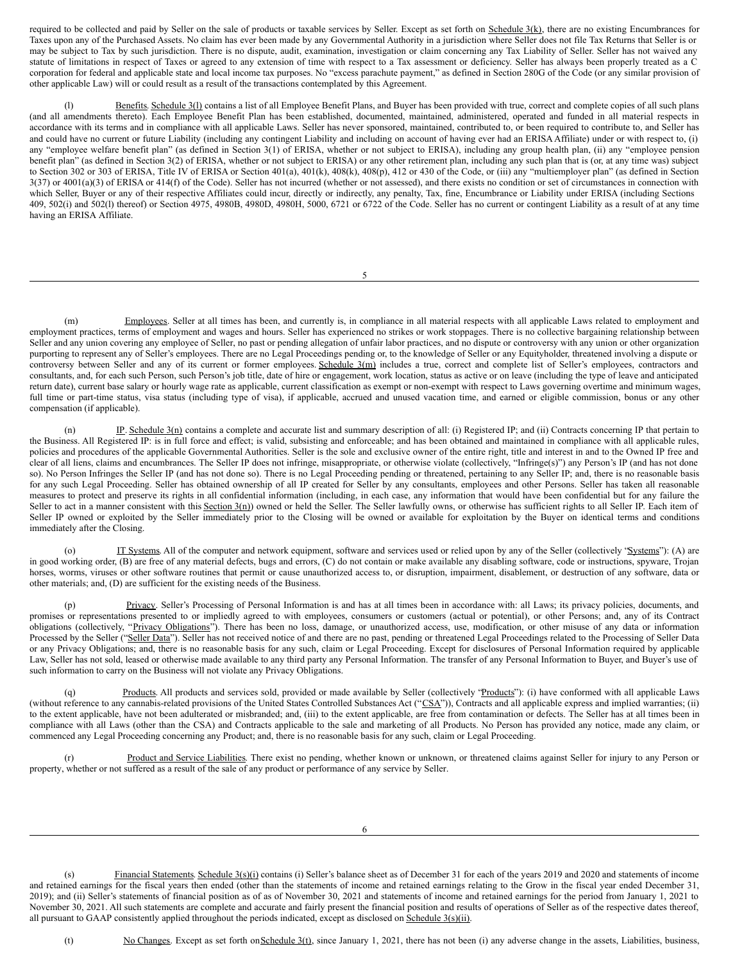required to be collected and paid by Seller on the sale of products or taxable services by Seller. Except as set forth on Schedule 3(k), there are no existing Encumbrances for Taxes upon any of the Purchased Assets. No claim has ever been made by any Governmental Authority in a jurisdiction where Seller does not file Tax Returns that Seller is or may be subject to Tax by such jurisdiction. There is no dispute, audit, examination, investigation or claim concerning any Tax Liability of Seller. Seller has not waived any statute of limitations in respect of Taxes or agreed to any extension of time with respect to a Tax assessment or deficiency. Seller has always been properly treated as a C corporation for federal and applicable state and local income tax purposes. No "excess parachute payment," as defined in Section 280G of the Code (or any similar provision of other applicable Law) will or could result as a result of the transactions contemplated by this Agreement.

Benefits. Schedule 3(1) contains a list of all Employee Benefit Plans, and Buyer has been provided with true, correct and complete copies of all such plans (and all amendments thereto). Each Employee Benefit Plan has been established, documented, maintained, administered, operated and funded in all material respects in accordance with its terms and in compliance with all applicable Laws. Seller has never sponsored, maintained, contributed to, or been required to contribute to, and Seller has and could have no current or future Liability (including any contingent Liability and including on account of having ever had an ERISA Affiliate) under or with respect to, (i) any "employee welfare benefit plan" (as defined in Section 3(1) of ERISA, whether or not subject to ERISA), including any group health plan, (ii) any "employee pension benefit plan" (as defined in Section 3(2) of ERISA, whether or not subject to ERISA) or any other retirement plan, including any such plan that is (or, at any time was) subject to Section 302 or 303 of ERISA, Title IV of ERISA or Section 401(a), 401(k), 408(k), 408(p), 412 or 430 of the Code, or (iii) any "multiemployer plan" (as defined in Section  $3(37)$  or  $4001(a)(3)$  of ERISA or  $414(f)$  of the Code). Seller has not incurred (whether or not assessed), and there exists no condition or set of circumstances in connection with which Seller, Buyer or any of their respective Affiliates could incur, directly or indirectly, any penalty, Tax, fine, Encumbrance or Liability under ERISA (including Sections 409, 502(i) and 502(l) thereof) or Section 4975, 4980B, 4980D, 4980H, 5000, 6721 or 6722 of the Code. Seller has no current or contingent Liability as a result of at any time having an ERISA Affiliate.

5

(m) Employees. Seller at all times has been, and currently is, in compliance in all material respects with all applicable Laws related to employment and employment practices, terms of employment and wages and hours. Seller has experienced no strikes or work stoppages. There is no collective bargaining relationship between Seller and any union covering any employee of Seller, no past or pending allegation of unfair labor practices, and no dispute or controversy with any union or other organization purporting to represent any of Seller's employees. There are no Legal Proceedings pending or, to the knowledge of Seller or any Equityholder, threatened involving a dispute or controversy between Seller and any of its current or former employees. Schedule 3(m) includes a true, correct and complete list of Seller's employees, contractors and consultants, and, for each such Person, such Person's job title, date of hire or engagement, work location, status as active or on leave (including the type of leave and anticipated return date), current base salary or hourly wage rate as applicable, current classification as exempt or non-exempt with respect to Laws governing overtime and minimum wages, full time or part-time status, visa status (including type of visa), if applicable, accrued and unused vacation time, and earned or eligible commission, bonus or any other compensation (if applicable).

(n) IP. Schedule  $3(n)$  contains a complete and accurate list and summary description of all: (i) Registered IP; and (ii) Contracts concerning IP that pertain to the Business. All Registered IP: is in full force and effect; is valid, subsisting and enforceable; and has been obtained and maintained in compliance with all applicable rules, policies and procedures of the applicable Governmental Authorities. Seller is the sole and exclusive owner of the entire right, title and interest in and to the Owned IP free and clear of all liens, claims and encumbrances. The Seller IP does not infringe, misappropriate, or otherwise violate (collectively, "Infringe(s)") any Person's IP (and has not done so). No Person Infringes the Seller IP (and has not done so). There is no Legal Proceeding pending or threatened, pertaining to any Seller IP; and, there is no reasonable basis for any such Legal Proceeding. Seller has obtained ownership of all IP created for Seller by any consultants, employees and other Persons. Seller has taken all reasonable measures to protect and preserve its rights in all confidential information (including, in each case, any information that would have been confidential but for any failure the Seller to act in a manner consistent with this Section 3(n)) owned or held the Seller. The Seller lawfully owns, or otherwise has sufficient rights to all Seller IP. Each item of Seller IP owned or exploited by the Seller immediately prior to the Closing will be owned or available for exploitation by the Buyer on identical terms and conditions immediately after the Closing.

IT Systems. All of the computer and network equipment, software and services used or relied upon by any of the Seller (collectively "Systems"): (A) are in good working order, (B) are free of any material defects, bugs and errors, (C) do not contain or make available any disabling software, code or instructions, spyware, Trojan horses, worms, viruses or other software routines that permit or cause unauthorized access to, or disruption, impairment, disablement, or destruction of any software, data or other materials; and, (D) are sufficient for the existing needs of the Business.

Privacy. Seller's Processing of Personal Information is and has at all times been in accordance with: all Laws; its privacy policies, documents, and promises or representations presented to or impliedly agreed to with employees, consumers or customers (actual or potential), or other Persons; and, any of its Contract obligations (collectively, "Privacy Obligations"). There has been no loss, damage, or unauthorized access, use, modification, or other misuse of any data or information Processed by the Seller ("Seller Data"). Seller has not received notice of and there are no past, pending or threatened Legal Proceedings related to the Processing of Seller Data or any Privacy Obligations; and, there is no reasonable basis for any such, claim or Legal Proceeding. Except for disclosures of Personal Information required by applicable Law, Seller has not sold, leased or otherwise made available to any third party any Personal Information. The transfer of any Personal Information to Buyer, and Buyer's use of such information to carry on the Business will not violate any Privacy Obligations.

(q) Products. All products and services sold, provided or made available by Seller (collectively "Products"): (i) have conformed with all applicable Laws (without reference to any cannabis-related provisions of the United States Controlled Substances Act ("CSA")), Contracts and all applicable express and implied warranties; (ii) to the extent applicable, have not been adulterated or misbranded; and, (iii) to the extent applicable, are free from contamination or defects. The Seller has at all times been in compliance with all Laws (other than the CSA) and Contracts applicable to the sale and marketing of all Products. No Person has provided any notice, made any claim, or commenced any Legal Proceeding concerning any Product; and, there is no reasonable basis for any such, claim or Legal Proceeding.

(r) Product and Service Liabilities. There exist no pending, whether known or unknown, or threatened claims against Seller for injury to any Person or property, whether or not suffered as a result of the sale of any product or performance of any service by Seller.

(s) Financial Statements. Schedule 3(s)(i) contains (i) Seller's balance sheet as of December 31 for each of the years 2019 and 2020 and statements of income and retained earnings for the fiscal years then ended (other than the statements of income and retained earnings relating to the Grow in the fiscal year ended December 31, 2019); and (ii) Seller's statements of financial position as of as of November 30, 2021 and statements of income and retained earnings for the period from January 1, 2021 to November 30, 2021. All such statements are complete and accurate and fairly present the financial position and results of operations of Seller as of the respective dates thereof, all pursuant to GAAP consistently applied throughout the periods indicated, except as disclosed on Schedule 3(s)(ii).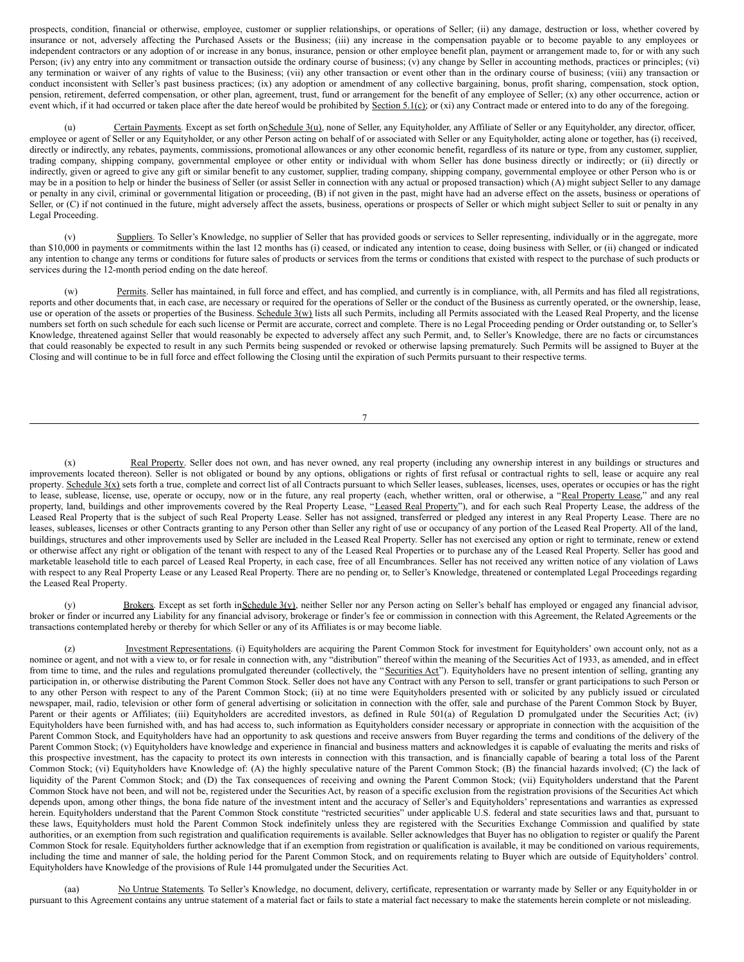prospects, condition, financial or otherwise, employee, customer or supplier relationships, or operations of Seller; (ii) any damage, destruction or loss, whether covered by insurance or not, adversely affecting the Purchased Assets or the Business; (iii) any increase in the compensation payable or to become payable to any employees or independent contractors or any adoption of or increase in any bonus, insurance, pension or other employee benefit plan, payment or arrangement made to, for or with any such Person; (iv) any entry into any commitment or transaction outside the ordinary course of business; (v) any change by Seller in accounting methods, practices or principles; (vi) any termination or waiver of any rights of value to the Business; (vii) any other transaction or event other than in the ordinary course of business; (viii) any transaction or conduct inconsistent with Seller's past business practices; (ix) any adoption or amendment of any collective bargaining, bonus, profit sharing, compensation, stock option, pension, retirement, deferred compensation, or other plan, agreement, trust, fund or arrangement for the benefit of any employee of Seller; (x) any other occurrence, action or event which, if it had occurred or taken place after the date hereof would be prohibited by Section 5.1(c); or (xi) any Contract made or entered into to do any of the foregoing.

(u) Certain Payments. Except as set forth on Schedule 3(u), none of Seller, any Equityholder, any Affiliate of Seller or any Equityholder, any director, officer, employee or agent of Seller or any Equityholder, or any other Person acting on behalf of or associated with Seller or any Equityholder, acting alone or together, has (i) received, directly or indirectly, any rebates, payments, commissions, promotional allowances or any other economic benefit, regardless of its nature or type, from any customer, supplier, trading company, shipping company, governmental employee or other entity or individual with whom Seller has done business directly or indirectly; or (ii) directly or indirectly, given or agreed to give any gift or similar benefit to any customer, supplier, trading company, shipping company, governmental employee or other Person who is or may be in a position to help or hinder the business of Seller (or assist Seller in connection with any actual or proposed transaction) which (A) might subject Seller to any damage or penalty in any civil, criminal or governmental litigation or proceeding, (B) if not given in the past, might have had an adverse effect on the assets, business or operations of Seller, or (C) if not continued in the future, might adversely affect the assets, business, operations or prospects of Seller or which might subject Seller to suit or penalty in any Legal Proceeding.

(v) Suppliers. To Seller's Knowledge, no supplier of Seller that has provided goods or services to Seller representing, individually or in the aggregate, more than \$10,000 in payments or commitments within the last 12 months has (i) ceased, or indicated any intention to cease, doing business with Seller, or (ii) changed or indicated any intention to change any terms or conditions for future sales of products or services from the terms or conditions that existed with respect to the purchase of such products or services during the 12-month period ending on the date hereof.

(w) Permits. Seller has maintained, in full force and effect, and has complied, and currently is in compliance, with, all Permits and has filed all registrations, reports and other documents that, in each case, are necessary or required for the operations of Seller or the conduct of the Business as currently operated, or the ownership, lease, use or operation of the assets or properties of the Business. Schedule 3(w) lists all such Permits, including all Permits associated with the Leased Real Property, and the license numbers set forth on such schedule for each such license or Permit are accurate, correct and complete. There is no Legal Proceeding pending or Order outstanding or, to Seller's Knowledge, threatened against Seller that would reasonably be expected to adversely affect any such Permit, and, to Seller's Knowledge, there are no facts or circumstances that could reasonably be expected to result in any such Permits being suspended or revoked or otherwise lapsing prematurely. Such Permits will be assigned to Buyer at the Closing and will continue to be in full force and effect following the Closing until the expiration of such Permits pursuant to their respective terms.

7

(x) Real Property. Seller does not own, and has never owned, any real property (including any ownership interest in any buildings or structures and improvements located thereon). Seller is not obligated or bound by any options, obligations or rights of first refusal or contractual rights to sell, lease or acquire any real property. Schedule  $3(x)$  sets forth a true, complete and correct list of all Contracts pursuant to which Seller leases, subleases, licenses, uses, operates or occupies or has the right to lease, sublease, license, use, operate or occupy, now or in the future, any real property (each, whether written, oral or otherwise, a "Real Property Lease," and any real property, land, buildings and other improvements covered by the Real Property Lease, "Leased Real Property"), and for each such Real Property Lease, the address of the Leased Real Property that is the subject of such Real Property Lease. Seller has not assigned, transferred or pledged any interest in any Real Property Lease. There are no leases, subleases, licenses or other Contracts granting to any Person other than Seller any right of use or occupancy of any portion of the Leased Real Property. All of the land, buildings, structures and other improvements used by Seller are included in the Leased Real Property. Seller has not exercised any option or right to terminate, renew or extend or otherwise affect any right or obligation of the tenant with respect to any of the Leased Real Properties or to purchase any of the Leased Real Property. Seller has good and marketable leasehold title to each parcel of Leased Real Property, in each case, free of all Encumbrances. Seller has not received any written notice of any violation of Laws with respect to any Real Property Lease or any Leased Real Property. There are no pending or, to Seller's Knowledge, threatened or contemplated Legal Proceedings regarding the Leased Real Property.

(y) Brokers. Except as set forth in Schedule 3(y), neither Seller nor any Person acting on Seller's behalf has employed or engaged any financial advisor, broker or finder or incurred any Liability for any financial advisory, brokerage or finder's fee or commission in connection with this Agreement, the Related Agreements or the transactions contemplated hereby or thereby for which Seller or any of its Affiliates is or may become liable.

(z) Investment Representations. (i) Equityholders are acquiring the Parent Common Stock for investment for Equityholders' own account only, not as a nominee or agent, and not with a view to, or for resale in connection with, any "distribution" thereof within the meaning of the Securities Act of 1933, as amended, and in effect from time to time, and the rules and regulations promulgated thereunder (collectively, the "Securities Act"). Equityholders have no present intention of selling, granting any participation in, or otherwise distributing the Parent Common Stock. Seller does not have any Contract with any Person to sell, transfer or grant participations to such Person or to any other Person with respect to any of the Parent Common Stock; (ii) at no time were Equityholders presented with or solicited by any publicly issued or circulated newspaper, mail, radio, television or other form of general advertising or solicitation in connection with the offer, sale and purchase of the Parent Common Stock by Buyer, Parent or their agents or Affiliates; (iii) Equityholders are accredited investors, as defined in Rule 501(a) of Regulation D promulgated under the Securities Act; (iv) Equityholders have been furnished with, and has had access to, such information as Equityholders consider necessary or appropriate in connection with the acquisition of the Parent Common Stock, and Equityholders have had an opportunity to ask questions and receive answers from Buyer regarding the terms and conditions of the delivery of the Parent Common Stock; (v) Equityholders have knowledge and experience in financial and business matters and acknowledges it is capable of evaluating the merits and risks of this prospective investment, has the capacity to protect its own interests in connection with this transaction, and is financially capable of bearing a total loss of the Parent Common Stock; (vi) Equityholders have Knowledge of: (A) the highly speculative nature of the Parent Common Stock; (B) the financial hazards involved; (C) the lack of liquidity of the Parent Common Stock; and (D) the Tax consequences of receiving and owning the Parent Common Stock; (vii) Equityholders understand that the Parent Common Stock have not been, and will not be, registered under the Securities Act, by reason of a specific exclusion from the registration provisions of the Securities Act which depends upon, among other things, the bona fide nature of the investment intent and the accuracy of Seller's and Equityholders' representations and warranties as expressed herein. Equityholders understand that the Parent Common Stock constitute "restricted securities" under applicable U.S. federal and state securities laws and that, pursuant to these laws, Equityholders must hold the Parent Common Stock indefinitely unless they are registered with the Securities Exchange Commission and qualified by state authorities, or an exemption from such registration and qualification requirements is available. Seller acknowledges that Buyer has no obligation to register or qualify the Parent Common Stock for resale. Equityholders further acknowledge that if an exemption from registration or qualification is available, it may be conditioned on various requirements, including the time and manner of sale, the holding period for the Parent Common Stock, and on requirements relating to Buyer which are outside of Equityholders' control. Equityholders have Knowledge of the provisions of Rule 144 promulgated under the Securities Act.

(aa) No Untrue Statements. To Seller's Knowledge, no document, delivery, certificate, representation or warranty made by Seller or any Equityholder in or pursuant to this Agreement contains any untrue statement of a material fact or fails to state a material fact necessary to make the statements herein complete or not misleading.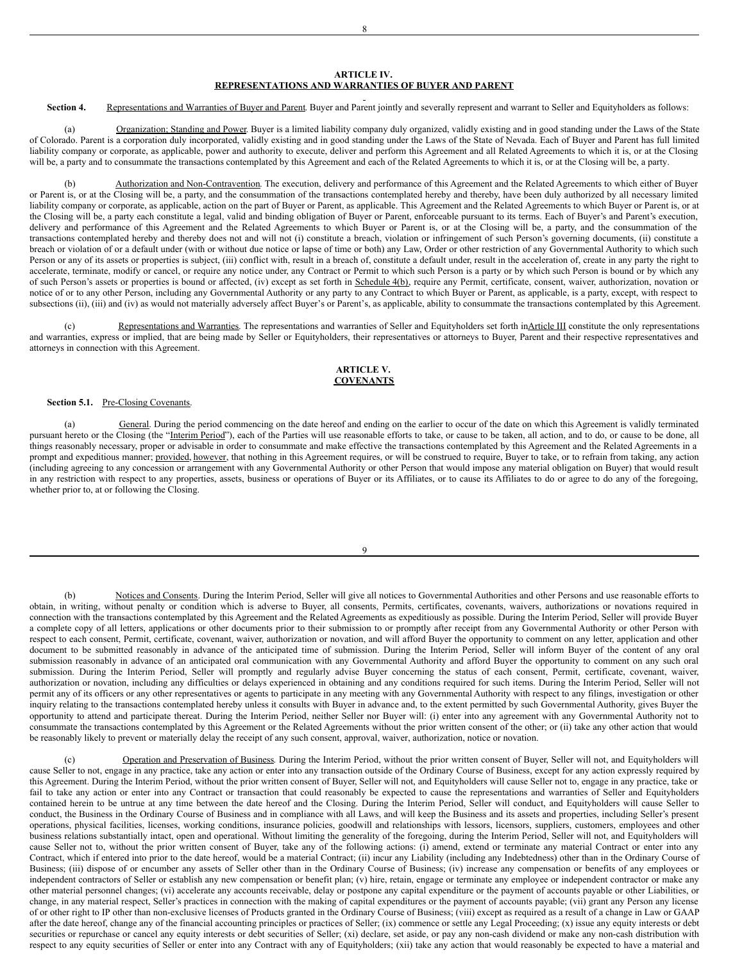## **ARTICLE IV. REPRESENTATIONS AND WARRANTIES OF BUYER AND PARENT**

**Section 4.** Representations and Warranties of Buyer and Parent. Buyer and Parent jointly and severally represent and warrant to Seller and Equityholders as follows:

(a) Organization; Standing and Power. Buyer is a limited liability company duly organized, validly existing and in good standing under the Laws of the State of Colorado. Parent is a corporation duly incorporated, validly existing and in good standing under the Laws of the State of Nevada. Each of Buyer and Parent has full limited liability company or corporate, as applicable, power and authority to execute, deliver and perform this Agreement and all Related Agreements to which it is, or at the Closing will be, a party and to consummate the transactions contemplated by this Agreement and each of the Related Agreements to which it is, or at the Closing will be, a party.

(b) Authorization and Non-Contravention. The execution, delivery and performance of this Agreement and the Related Agreements to which either of Buyer or Parent is, or at the Closing will be, a party, and the consummation of the transactions contemplated hereby and thereby, have been duly authorized by all necessary limited liability company or corporate, as applicable, action on the part of Buyer or Parent, as applicable. This Agreement and the Related Agreements to which Buyer or Parent is, or at the Closing will be, a party each constitute a legal, valid and binding obligation of Buyer or Parent, enforceable pursuant to its terms. Each of Buyer's and Parent's execution, delivery and performance of this Agreement and the Related Agreements to which Buyer or Parent is, or at the Closing will be, a party, and the consummation of the transactions contemplated hereby and thereby does not and will not (i) constitute a breach, violation or infringement of such Person's governing documents, (ii) constitute a breach or violation of or a default under (with or without due notice or lapse of time or both) any Law, Order or other restriction of any Governmental Authority to which such Person or any of its assets or properties is subject, (iii) conflict with, result in a breach of, constitute a default under, result in the acceleration of, create in any party the right to accelerate, terminate, modify or cancel, or require any notice under, any Contract or Permit to which such Person is a party or by which such Person is bound or by which any of such Person's assets or properties is bound or affected, (iv) except as set forth in Schedule 4(b), require any Permit, certificate, consent, waiver, authorization, novation or notice of or to any other Person, including any Governmental Authority or any party to any Contract to which Buyer or Parent, as applicable, is a party, except, with respect to subsections (ii), (iii) and (iv) as would not materially adversely affect Buyer's or Parent's, as applicable, ability to consummate the transactions contemplated by this Agreement.

(c) Representations and Warranties. The representations and warranties of Seller and Equityholders set forth inArticle III constitute the only representations and warranties, express or implied, that are being made by Seller or Equityholders, their representatives or attorneys to Buyer, Parent and their respective representatives and attorneys in connection with this Agreement.

## **ARTICLE V. COVENANTS**

#### **Section 5.1.** Pre-Closing Covenants.

(a) General. During the period commencing on the date hereof and ending on the earlier to occur of the date on which this Agreement is validly terminated pursuant hereto or the Closing (the "Interim Period"), each of the Parties will use reasonable efforts to take, or cause to be taken, all action, and to do, or cause to be done, all things reasonably necessary, proper or advisable in order to consummate and make effective the transactions contemplated by this Agreement and the Related Agreements in a prompt and expeditious manner; provided, however, that nothing in this Agreement requires, or will be construed to require, Buyer to take, or to refrain from taking, any action (including agreeing to any concession or arrangement with any Governmental Authority or other Person that would impose any material obligation on Buyer) that would result in any restriction with respect to any properties, assets, business or operations of Buyer or its Affiliates, or to cause its Affiliates to do or agree to do any of the foregoing, whether prior to, at or following the Closing.

9

(b) Notices and Consents. During the Interim Period, Seller will give all notices to Governmental Authorities and other Persons and use reasonable efforts to obtain, in writing, without penalty or condition which is adverse to Buyer, all consents, Permits, certificates, covenants, waivers, authorizations or novations required in connection with the transactions contemplated by this Agreement and the Related Agreements as expeditiously as possible. During the Interim Period, Seller will provide Buyer a complete copy of all letters, applications or other documents prior to their submission to or promptly after receipt from any Governmental Authority or other Person with respect to each consent, Permit, certificate, covenant, waiver, authorization or novation, and will afford Buyer the opportunity to comment on any letter, application and other document to be submitted reasonably in advance of the anticipated time of submission. During the Interim Period, Seller will inform Buyer of the content of any oral submission reasonably in advance of an anticipated oral communication with any Governmental Authority and afford Buyer the opportunity to comment on any such oral submission. During the Interim Period, Seller will promptly and regularly advise Buyer concerning the status of each consent, Permit, certificate, covenant, waiver, authorization or novation, including any difficulties or delays experienced in obtaining and any conditions required for such items. During the Interim Period, Seller will not permit any of its officers or any other representatives or agents to participate in any meeting with any Governmental Authority with respect to any filings, investigation or other inquiry relating to the transactions contemplated hereby unless it consults with Buyer in advance and, to the extent permitted by such Governmental Authority, gives Buyer the opportunity to attend and participate thereat. During the Interim Period, neither Seller nor Buyer will: (i) enter into any agreement with any Governmental Authority not to consummate the transactions contemplated by this Agreement or the Related Agreements without the prior written consent of the other; or (ii) take any other action that would be reasonably likely to prevent or materially delay the receipt of any such consent, approval, waiver, authorization, notice or novation.

(c) Operation and Preservation of Business. During the Interim Period, without the prior written consent of Buyer, Seller will not, and Equityholders will cause Seller to not, engage in any practice, take any action or enter into any transaction outside of the Ordinary Course of Business, except for any action expressly required by this Agreement. During the Interim Period, without the prior written consent of Buyer, Seller will not, and Equityholders will cause Seller not to, engage in any practice, take or fail to take any action or enter into any Contract or transaction that could reasonably be expected to cause the representations and warranties of Seller and Equityholders contained herein to be untrue at any time between the date hereof and the Closing. During the Interim Period, Seller will conduct, and Equityholders will cause Seller to conduct, the Business in the Ordinary Course of Business and in compliance with all Laws, and will keep the Business and its assets and properties, including Seller's present operations, physical facilities, licenses, working conditions, insurance policies, goodwill and relationships with lessors, licensors, suppliers, customers, employees and other business relations substantially intact, open and operational. Without limiting the generality of the foregoing, during the Interim Period, Seller will not, and Equityholders will cause Seller not to, without the prior written consent of Buyer, take any of the following actions: (i) amend, extend or terminate any material Contract or enter into any Contract, which if entered into prior to the date hereof, would be a material Contract; (ii) incur any Liability (including any Indebtedness) other than in the Ordinary Course of Business; (iii) dispose of or encumber any assets of Seller other than in the Ordinary Course of Business; (iv) increase any compensation or benefits of any employees or independent contractors of Seller or establish any new compensation or benefit plan; (v) hire, retain, engage or terminate any employee or independent contractor or make any other material personnel changes; (vi) accelerate any accounts receivable, delay or postpone any capital expenditure or the payment of accounts payable or other Liabilities, or change, in any material respect, Seller's practices in connection with the making of capital expenditures or the payment of accounts payable; (vii) grant any Person any license of or other right to IP other than non-exclusive licenses of Products granted in the Ordinary Course of Business; (viii) except as required as a result of a change in Law or GAAP after the date hereof, change any of the financial accounting principles or practices of Seller; (ix) commence or settle any Legal Proceeding; (x) issue any equity interests or debt securities or repurchase or cancel any equity interests or debt securities of Seller; (xi) declare, set aside, or pay any non-cash dividend or make any non-cash distribution with respect to any equity securities of Seller or enter into any Contract with any of Equityholders; (xii) take any action that would reasonably be expected to have a material and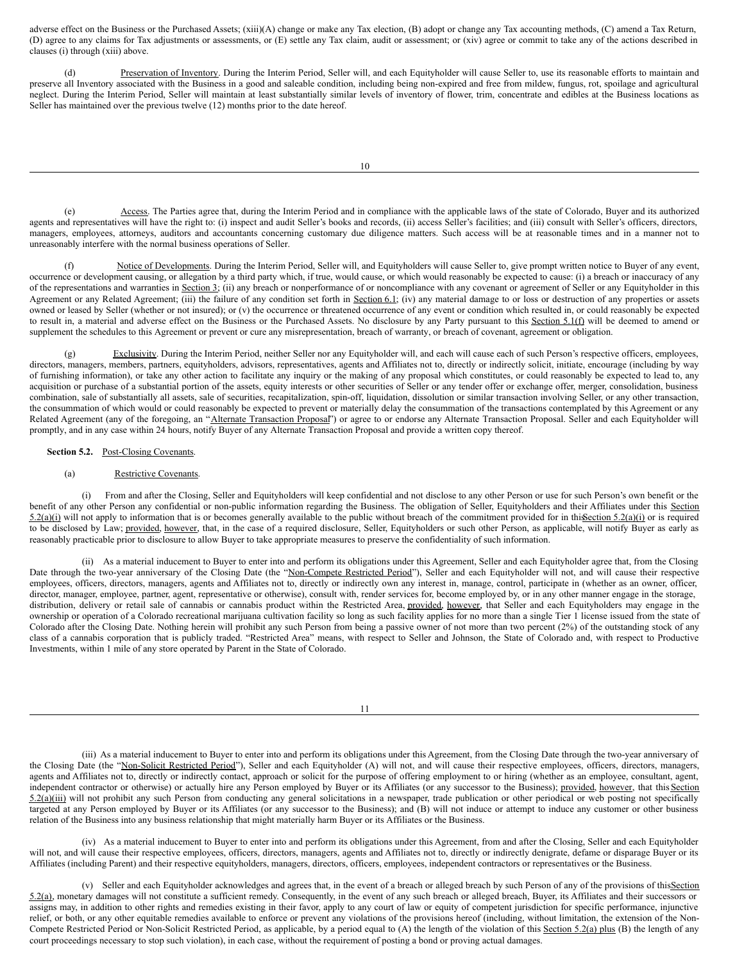adverse effect on the Business or the Purchased Assets; (xiii)(A) change or make any Tax election, (B) adopt or change any Tax accounting methods, (C) amend a Tax Return, (D) agree to any claims for Tax adjustments or assessments, or (E) settle any Tax claim, audit or assessment; or (xiv) agree or commit to take any of the actions described in clauses (i) through (xiii) above.

Preservation of Inventory. During the Interim Period, Seller will, and each Equityholder will cause Seller to, use its reasonable efforts to maintain and preserve all Inventory associated with the Business in a good and saleable condition, including being non-expired and free from mildew, fungus, rot, spoilage and agricultural neglect. During the Interim Period, Seller will maintain at least substantially similar levels of inventory of flower, trim, concentrate and edibles at the Business locations as Seller has maintained over the previous twelve (12) months prior to the date hereof.

10

(e) Access. The Parties agree that, during the Interim Period and in compliance with the applicable laws of the state of Colorado, Buyer and its authorized agents and representatives will have the right to: (i) inspect and audit Seller's books and records, (ii) access Seller's facilities; and (iii) consult with Seller's officers, directors, managers, employees, attorneys, auditors and accountants concerning customary due diligence matters. Such access will be at reasonable times and in a manner not to unreasonably interfere with the normal business operations of Seller.

(f) Notice of Developments. During the Interim Period, Seller will, and Equityholders will cause Seller to, give prompt written notice to Buyer of any event, occurrence or development causing, or allegation by a third party which, if true, would cause, or which would reasonably be expected to cause: (i) a breach or inaccuracy of any of the representations and warranties in Section 3; (ii) any breach or nonperformance of or noncompliance with any covenant or agreement of Seller or any Equityholder in this Agreement or any Related Agreement; (iii) the failure of any condition set forth in Section 6.1; (iv) any material damage to or loss or destruction of any properties or assets owned or leased by Seller (whether or not insured); or (v) the occurrence or threatened occurrence of any event or condition which resulted in, or could reasonably be expected to result in, a material and adverse effect on the Business or the Purchased Assets. No disclosure by any Party pursuant to this Section 5.1(f) will be deemed to amend or supplement the schedules to this Agreement or prevent or cure any misrepresentation, breach of warranty, or breach of covenant, agreement or obligation.

(g) Exclusivity. During the Interim Period, neither Seller nor any Equityholder will, and each will cause each of such Person's respective officers, employees, directors, managers, members, partners, equityholders, advisors, representatives, agents and Affiliates not to, directly or indirectly solicit, initiate, encourage (including by way of furnishing information), or take any other action to facilitate any inquiry or the making of any proposal which constitutes, or could reasonably be expected to lead to, any acquisition or purchase of a substantial portion of the assets, equity interests or other securities of Seller or any tender offer or exchange offer, merger, consolidation, business combination, sale of substantially all assets, sale of securities, recapitalization, spin-off, liquidation, dissolution or similar transaction involving Seller, or any other transaction, the consummation of which would or could reasonably be expected to prevent or materially delay the consummation of the transactions contemplated by this Agreement or any Related Agreement (any of the foregoing, an "Alternate Transaction Proposal") or agree to or endorse any Alternate Transaction Proposal. Seller and each Equityholder will promptly, and in any case within 24 hours, notify Buyer of any Alternate Transaction Proposal and provide a written copy thereof.

#### **Section 5.2.** Post-Closing Covenants.

## (a) Restrictive Covenants.

(i) From and after the Closing, Seller and Equityholders will keep confidential and not disclose to any other Person or use for such Person's own benefit or the benefit of any other Person any confidential or non-public information regarding the Business. The obligation of Seller, Equityholders and their Affiliates under this Section  $5.2(a)(i)$  will not apply to information that is or becomes generally available to the public without breach of the commitment provided for in this ection  $5.2(a)(i)$  or is required to be disclosed by Law; provided, however, that, in the case of a required disclosure, Seller, Equityholders or such other Person, as applicable, will notify Buyer as early as reasonably practicable prior to disclosure to allow Buyer to take appropriate measures to preserve the confidentiality of such information.

(ii) As a material inducement to Buyer to enter into and perform its obligations under this Agreement, Seller and each Equityholder agree that, from the Closing Date through the two-year anniversary of the Closing Date (the "Non-Compete Restricted Period"), Seller and each Equityholder will not, and will cause their respective employees, officers, directors, managers, agents and Affiliates not to, directly or indirectly own any interest in, manage, control, participate in (whether as an owner, officer, director, manager, employee, partner, agent, representative or otherwise), consult with, render services for, become employed by, or in any other manner engage in the storage, distribution, delivery or retail sale of cannabis or cannabis product within the Restricted Area, provided, however, that Seller and each Equityholders may engage in the ownership or operation of a Colorado recreational marijuana cultivation facility so long as such facility applies for no more than a single Tier 1 license issued from the state of Colorado after the Closing Date. Nothing herein will prohibit any such Person from being a passive owner of not more than two percent (2%) of the outstanding stock of any class of a cannabis corporation that is publicly traded. "Restricted Area" means, with respect to Seller and Johnson, the State of Colorado and, with respect to Productive Investments, within 1 mile of any store operated by Parent in the State of Colorado.

11

(iii) As a material inducement to Buyer to enter into and perform its obligations under this Agreement, from the Closing Date through the two-year anniversary of the Closing Date (the "Non-Solicit Restricted Period"), Seller and each Equityholder (A) will not, and will cause their respective employees, officers, directors, managers, agents and Affiliates not to, directly or indirectly contact, approach or solicit for the purpose of offering employment to or hiring (whether as an employee, consultant, agent, independent contractor or otherwise) or actually hire any Person employed by Buyer or its Affiliates (or any successor to the Business); provided, however, that this Section 5.2(a)(iii) will not prohibit any such Person from conducting any general solicitations in a newspaper, trade publication or other periodical or web posting not specifically targeted at any Person employed by Buyer or its Affiliates (or any successor to the Business); and (B) will not induce or attempt to induce any customer or other business relation of the Business into any business relationship that might materially harm Buyer or its Affiliates or the Business.

(iv) As a material inducement to Buyer to enter into and perform its obligations under this Agreement, from and after the Closing, Seller and each Equityholder will not, and will cause their respective employees, officers, directors, managers, agents and Affiliates not to, directly or indirectly denigrate, defame or disparage Buyer or its Affiliates (including Parent) and their respective equityholders, managers, directors, officers, employees, independent contractors or representatives or the Business.

(v) Seller and each Equityholder acknowledges and agrees that, in the event of a breach or alleged breach by such Person of any of the provisions of thisSection 5.2(a), monetary damages will not constitute a sufficient remedy. Consequently, in the event of any such breach or alleged breach, Buyer, its Affiliates and their successors or assigns may, in addition to other rights and remedies existing in their favor, apply to any court of law or equity of competent jurisdiction for specific performance, injunctive relief, or both, or any other equitable remedies available to enforce or prevent any violations of the provisions hereof (including, without limitation, the extension of the Non-Compete Restricted Period or Non-Solicit Restricted Period, as applicable, by a period equal to (A) the length of the violation of this Section 5.2(a) plus (B) the length of any court proceedings necessary to stop such violation), in each case, without the requirement of posting a bond or proving actual damages.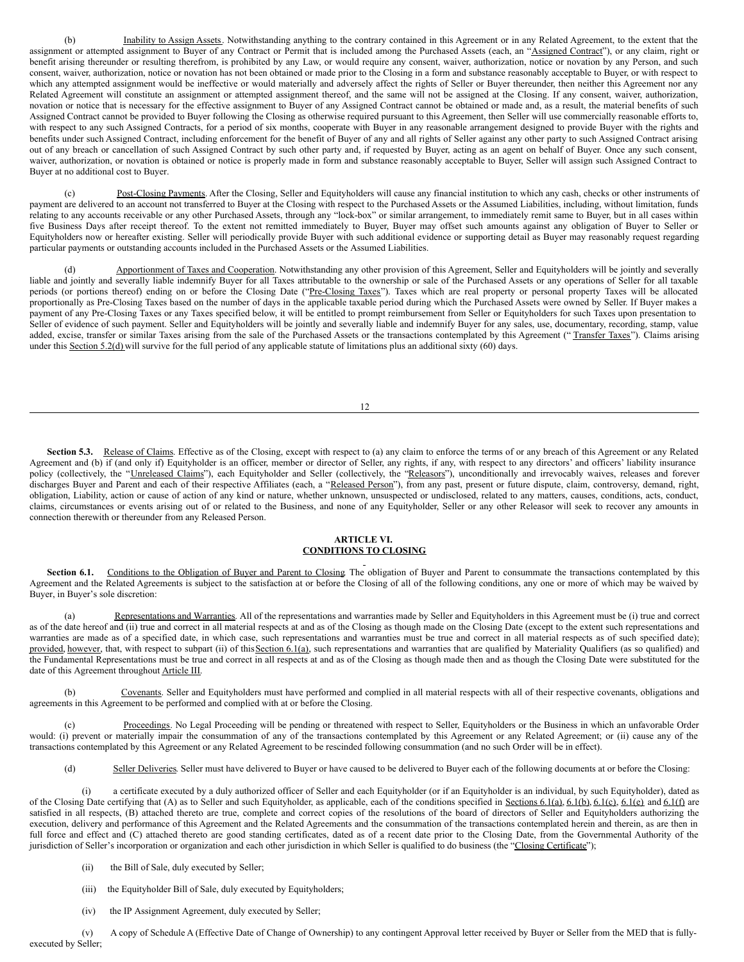(b) Inability to Assign Assets. Notwithstanding anything to the contrary contained in this Agreement or in any Related Agreement, to the extent that the assignment or attempted assignment to Buyer of any Contract or Permit that is included among the Purchased Assets (each, an "Assigned Contract"), or any claim, right or benefit arising thereunder or resulting therefrom, is prohibited by any Law, or would require any consent, waiver, authorization, notice or novation by any Person, and such consent, waiver, authorization, notice or novation has not been obtained or made prior to the Closing in a form and substance reasonably acceptable to Buyer, or with respect to which any attempted assignment would be ineffective or would materially and adversely affect the rights of Seller or Buyer thereunder, then neither this Agreement nor any Related Agreement will constitute an assignment or attempted assignment thereof, and the same will not be assigned at the Closing. If any consent, waiver, authorization, novation or notice that is necessary for the effective assignment to Buyer of any Assigned Contract cannot be obtained or made and, as a result, the material benefits of such Assigned Contract cannot be provided to Buyer following the Closing as otherwise required pursuant to this Agreement, then Seller will use commercially reasonable efforts to, with respect to any such Assigned Contracts, for a period of six months, cooperate with Buyer in any reasonable arrangement designed to provide Buyer with the rights and benefits under such Assigned Contract, including enforcement for the benefit of Buyer of any and all rights of Seller against any other party to such Assigned Contract arising out of any breach or cancellation of such Assigned Contract by such other party and, if requested by Buyer, acting as an agent on behalf of Buyer. Once any such consent, waiver, authorization, or novation is obtained or notice is properly made in form and substance reasonably acceptable to Buyer, Seller will assign such Assigned Contract to Buyer at no additional cost to Buyer.

(c) Post-Closing Payments. After the Closing, Seller and Equityholders will cause any financial institution to which any cash, checks or other instruments of payment are delivered to an account not transferred to Buyer at the Closing with respect to the Purchased Assets or the Assumed Liabilities, including, without limitation, funds relating to any accounts receivable or any other Purchased Assets, through any "lock-box" or similar arrangement, to immediately remit same to Buyer, but in all cases within five Business Days after receipt thereof. To the extent not remitted immediately to Buyer, Buyer may offset such amounts against any obligation of Buyer to Seller or Equityholders now or hereafter existing. Seller will periodically provide Buyer with such additional evidence or supporting detail as Buyer may reasonably request regarding particular payments or outstanding accounts included in the Purchased Assets or the Assumed Liabilities.

(d) Apportionment of Taxes and Cooperation. Notwithstanding any other provision of this Agreement, Seller and Equityholders will be jointly and severally liable and jointly and severally liable indemnify Buyer for all Taxes attributable to the ownership or sale of the Purchased Assets or any operations of Seller for all taxable periods (or portions thereof) ending on or before the Closing Date ("Pre-Closing Taxes"). Taxes which are real property or personal property Taxes will be allocated proportionally as Pre-Closing Taxes based on the number of days in the applicable taxable period during which the Purchased Assets were owned by Seller. If Buyer makes a payment of any Pre-Closing Taxes or any Taxes specified below, it will be entitled to prompt reimbursement from Seller or Equityholders for such Taxes upon presentation to Seller of evidence of such payment. Seller and Equityholders will be jointly and severally liable and indemnify Buyer for any sales, use, documentary, recording, stamp, value added, excise, transfer or similar Taxes arising from the sale of the Purchased Assets or the transactions contemplated by this Agreement ("Transfer Taxes"). Claims arising under this Section 5.2(d) will survive for the full period of any applicable statute of limitations plus an additional sixty (60) days.

12

Section **5.3.** Release of Claims. Effective as of the Closing, except with respect to (a) any claim to enforce the terms of or any breach of this Agreement or any Related Agreement and (b) if (and only if) Equityholder is an officer, member or director of Seller, any rights, if any, with respect to any directors' and officers' liability insurance policy (collectively, the "Unreleased Claims"), each Equityholder and Seller (collectively, the "Releasors"), unconditionally and irrevocably waives, releases and forever discharges Buyer and Parent and each of their respective Affiliates (each, a "Released Person"), from any past, present or future dispute, claim, controversy, demand, right, obligation, Liability, action or cause of action of any kind or nature, whether unknown, unsuspected or undisclosed, related to any matters, causes, conditions, acts, conduct, claims, circumstances or events arising out of or related to the Business, and none of any Equityholder, Seller or any other Releasor will seek to recover any amounts in connection therewith or thereunder from any Released Person.

## **ARTICLE VI. CONDITIONS TO CLOSING**

Section 6.1. Conditions to the Obligation of Buyer and Parent to Closing. The obligation of Buyer and Parent to consummate the transactions contemplated by this Agreement and the Related Agreements is subject to the satisfaction at or before the Closing of all of the following conditions, any one or more of which may be waived by Buyer, in Buyer's sole discretion:

(a) Representations and Warranties. All of the representations and warranties made by Seller and Equityholders in this Agreement must be (i) true and correct as of the date hereof and (ii) true and correct in all material respects at and as of the Closing as though made on the Closing Date (except to the extent such representations and warranties are made as of a specified date, in which case, such representations and warranties must be true and correct in all material respects as of such specified date); provided, however, that, with respect to subpart (ii) of this Section 6.1(a), such representations and warranties that are qualified by Materiality Qualifiers (as so qualified) and the Fundamental Representations must be true and correct in all respects at and as of the Closing as though made then and as though the Closing Date were substituted for the date of this Agreement throughout Article III.

(b) Covenants. Seller and Equityholders must have performed and complied in all material respects with all of their respective covenants, obligations and agreements in this Agreement to be performed and complied with at or before the Closing.

(c) Proceedings. No Legal Proceeding will be pending or threatened with respect to Seller, Equityholders or the Business in which an unfavorable Order would: (i) prevent or materially impair the consummation of any of the transactions contemplated by this Agreement or any Related Agreement; or (ii) cause any of the transactions contemplated by this Agreement or any Related Agreement to be rescinded following consummation (and no such Order will be in effect).

(d) Seller Deliveries. Seller must have delivered to Buyer or have caused to be delivered to Buyer each of the following documents at or before the Closing:

a certificate executed by a duly authorized officer of Seller and each Equityholder (or if an Equityholder is an individual, by such Equityholder), dated as of the Closing Date certifying that (A) as to Seller and such Equityholder, as applicable, each of the conditions specified in Sections 6.1(a), 6.1(b), 6.1(c), 6.1(e) and 6.1(f) are satisfied in all respects, (B) attached thereto are true, complete and correct copies of the resolutions of the board of directors of Seller and Equityholders authorizing the execution, delivery and performance of this Agreement and the Related Agreements and the consummation of the transactions contemplated herein and therein, as are then in full force and effect and (C) attached thereto are good standing certificates, dated as of a recent date prior to the Closing Date, from the Governmental Authority of the jurisdiction of Seller's incorporation or organization and each other jurisdiction in which Seller is qualified to do business (the "Closing Certificate");

- (ii) the Bill of Sale, duly executed by Seller;
- (iii) the Equityholder Bill of Sale, duly executed by Equityholders;
- (iv) the IP Assignment Agreement, duly executed by Seller;

(v) A copy of Schedule A (Effective Date of Change of Ownership) to any contingent Approval letter received by Buyer or Seller from the MED that is fullyexecuted by Seller;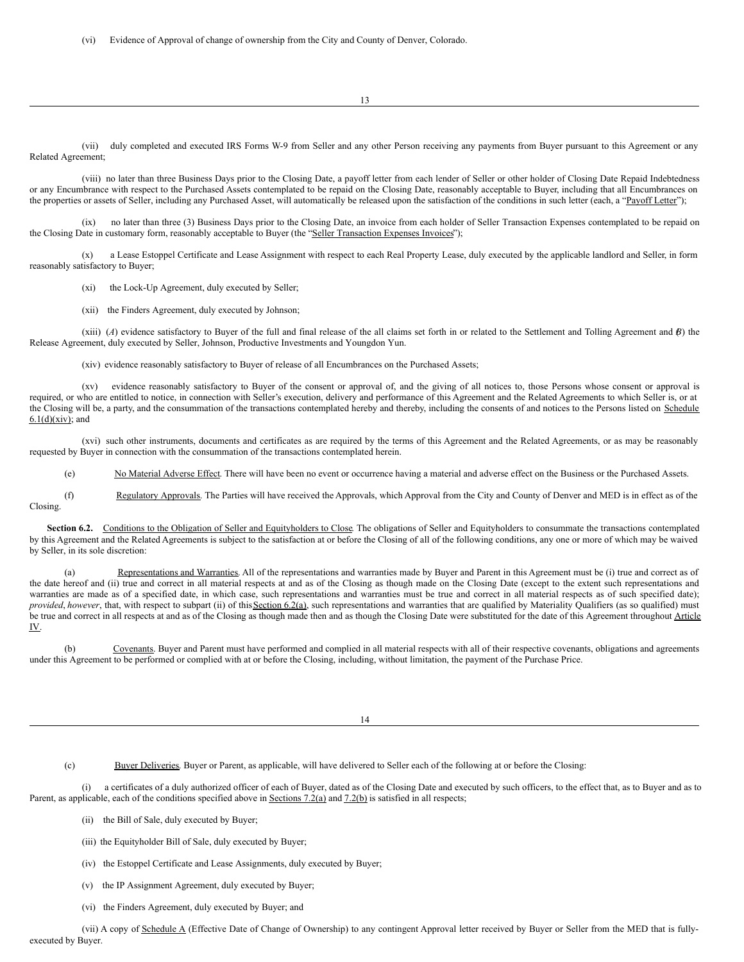<span id="page-11-0"></span>13

(vii) duly completed and executed IRS Forms W-9 from Seller and any other Person receiving any payments from Buyer pursuant to this Agreement or any Related Agreement;

(viii) no later than three Business Days prior to the Closing Date, a payoff letter from each lender of Seller or other holder of Closing Date Repaid Indebtedness or any Encumbrance with respect to the Purchased Assets contemplated to be repaid on the Closing Date, reasonably acceptable to Buyer, including that all Encumbrances on the properties or assets of Seller, including any Purchased Asset, will automatically be released upon the satisfaction of the conditions in such letter (each, a "Payoff Letter");

(ix) no later than three (3) Business Days prior to the Closing Date, an invoice from each holder of Seller Transaction Expenses contemplated to be repaid on the Closing Date in customary form, reasonably acceptable to Buyer (the "Seller Transaction Expenses Invoices");

(x) a Lease Estoppel Certificate and Lease Assignment with respect to each Real Property Lease, duly executed by the applicable landlord and Seller, in form reasonably satisfactory to Buyer;

(xi) the Lock-Up Agreement, duly executed by Seller;

(xii) the Finders Agreement, duly executed by Johnson;

(xiii) (*A*) evidence satisfactory to Buyer of the full and final release of the all claims set forth in or related to the Settlement and Tolling Agreement and (*B*) the Release Agreement, duly executed by Seller, Johnson, Productive Investments and Youngdon Yun.

(xiv) evidence reasonably satisfactory to Buyer of release of all Encumbrances on the Purchased Assets;

(xv) evidence reasonably satisfactory to Buyer of the consent or approval of, and the giving of all notices to, those Persons whose consent or approval is required, or who are entitled to notice, in connection with Seller's execution, delivery and performance of this Agreement and the Related Agreements to which Seller is, or at the Closing will be, a party, and the consummation of the transactions contemplated hereby and thereby, including the consents of and notices to the Persons listed on Schedule  $6.1(d)(xiv)$ ; and

(xvi) such other instruments, documents and certificates as are required by the terms of this Agreement and the Related Agreements, or as may be reasonably requested by Buyer in connection with the consummation of the transactions contemplated herein.

(e) No Material Adverse Effect. There will have been no event or occurrence having a material and adverse effect on the Business or the Purchased Assets.

(f) Regulatory Approvals. The Parties will have received the Approvals, which Approval from the City and County of Denver and MED is in effect as of the Closing.

Section 6.2. Conditions to the Obligation of Seller and Equityholders to Close. The obligations of Seller and Equityholders to consummate the transactions contemplated by this Agreement and the Related Agreements is subject to the satisfaction at or before the Closing of all of the following conditions, any one or more of which may be waived by Seller, in its sole discretion:

(a) Representations and Warranties. All of the representations and warranties made by Buyer and Parent in this Agreement must be (i) true and correct as of the date hereof and (ii) true and correct in all material respects at and as of the Closing as though made on the Closing Date (except to the extent such representations and warranties are made as of a specified date, in which case, such representations and warranties must be true and correct in all material respects as of such specified date); provided, however, that, with respect to subpart (ii) of this Section 6.2(a), such representations and warranties that are qualified by Materiality Qualifiers (as so qualified) must be true and correct in all respects at and as of the Closing as though made then and as though the Closing Date were substituted for the date of this Agreement throughout Article IV.

(b) Covenants. Buyer and Parent must have performed and complied in all material respects with all of their respective covenants, obligations and agreements under this Agreement to be performed or complied with at or before the Closing, including, without limitation, the payment of the Purchase Price.

14

(c) Buyer Deliveries. Buyer or Parent, as applicable, will have delivered to Seller each of the following at or before the Closing:

(i) a certificates of a duly authorized officer of each of Buyer, dated as of the Closing Date and executed by such officers, to the effect that, as to Buyer and as to Parent, as applicable, each of the conditions specified above in Sections 7.2(a) and 7.2(b) is satisfied in all respects;

- (ii) the Bill of Sale, duly executed by Buyer;
- (iii) the Equityholder Bill of Sale, duly executed by Buyer;
- (iv) the Estoppel Certificate and Lease Assignments, duly executed by Buyer;
- (v) the IP Assignment Agreement, duly executed by Buyer;
- (vi) the Finders Agreement, duly executed by Buyer; and

(vii) A copy of Schedule A (Effective Date of Change of Ownership) to any contingent Approval letter received by Buyer or Seller from the MED that is fullyexecuted by Buyer.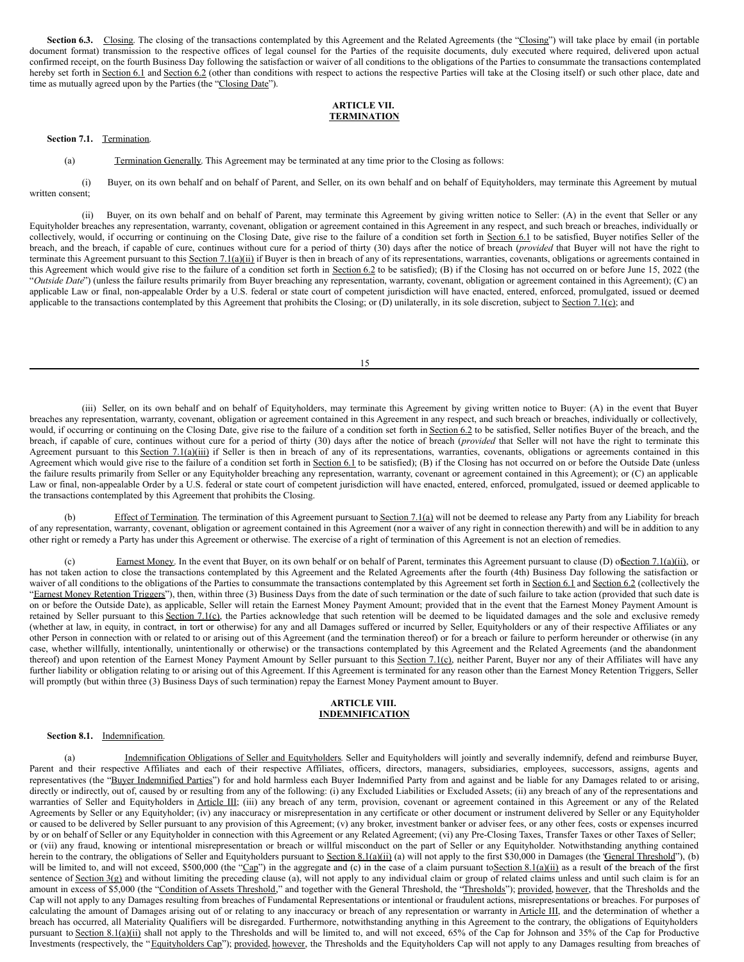Section 6.3. Closing. The closing of the transactions contemplated by this Agreement and the Related Agreements (the "Closing") will take place by email (in portable document format) transmission to the respective offices of legal counsel for the Parties of the requisite documents, duly executed where required, delivered upon actual confirmed receipt, on the fourth Business Day following the satisfaction or waiver of all conditions to the obligations of the Parties to consummate the transactions contemplated hereby set forth in Section 6.1 and Section 6.2 (other than conditions with respect to actions the respective Parties will take at the Closing itself) or such other place, date and time as mutually agreed upon by the Parties (the "Closing Date").

## **ARTICLE VII. TERMINATION**

**Section 7.1.** Termination.

(a) Termination Generally. This Agreement may be terminated at any time prior to the Closing as follows:

(i) Buyer, on its own behalf and on behalf of Parent, and Seller, on its own behalf and on behalf of Equityholders, may terminate this Agreement by mutual written consent;

(ii) Buyer, on its own behalf and on behalf of Parent, may terminate this Agreement by giving written notice to Seller: (A) in the event that Seller or any Equityholder breaches any representation, warranty, covenant, obligation or agreement contained in this Agreement in any respect, and such breach or breaches, individually or collectively, would, if occurring or continuing on the Closing Date, give rise to the failure of a condition set forth in Section 6.1 to be satisfied, Buyer notifies Seller of the breach, and the breach, if capable of cure, continues without cure for a period of thirty (30) days after the notice of breach (*provided* that Buyer will not have the right to terminate this Agreement pursuant to this Section 7.1(a)(ii) if Buyer is then in breach of any of its representations, warranties, covenants, obligations or agreements contained in this Agreement which would give rise to the failure of a condition set forth in Section 6.2 to be satisfied); (B) if the Closing has not occurred on or before June 15, 2022 (the "*Outside Date*") (unless the failure results primarily from Buyer breaching any representation, warranty, covenant, obligation or agreement contained in this Agreement); (C) an applicable Law or final, non-appealable Order by a U.S. federal or state court of competent jurisdiction will have enacted, entered, enforced, promulgated, issued or deemed applicable to the transactions contemplated by this Agreement that prohibits the Closing; or (D) unilaterally, in its sole discretion, subject to Section 7.1(c); and

15

(iii) Seller, on its own behalf and on behalf of Equityholders, may terminate this Agreement by giving written notice to Buyer: (A) in the event that Buyer breaches any representation, warranty, covenant, obligation or agreement contained in this Agreement in any respect, and such breach or breaches, individually or collectively, would, if occurring or continuing on the Closing Date, give rise to the failure of a condition set forth in Section 6.2 to be satisfied, Seller notifies Buyer of the breach, and the breach, if capable of cure, continues without cure for a period of thirty (30) days after the notice of breach (*provided* that Seller will not have the right to terminate this Agreement pursuant to this Section 7.1(a)(iii) if Seller is then in breach of any of its representations, warranties, covenants, obligations or agreements contained in this Agreement which would give rise to the failure of a condition set forth in Section 6.1 to be satisfied); (B) if the Closing has not occurred on or before the Outside Date (unless the failure results primarily from Seller or any Equityholder breaching any representation, warranty, covenant or agreement contained in this Agreement); or (C) an applicable Law or final, non-appealable Order by a U.S. federal or state court of competent jurisdiction will have enacted, entered, enforced, promulgated, issued or deemed applicable to the transactions contemplated by this Agreement that prohibits the Closing.

(b) Effect of Termination. The termination of this Agreement pursuant to Section 7.1(a) will not be deemed to release any Party from any Liability for breach of any representation, warranty, covenant, obligation or agreement contained in this Agreement (nor a waiver of any right in connection therewith) and will be in addition to any other right or remedy a Party has under this Agreement or otherwise. The exercise of a right of termination of this Agreement is not an election of remedies.

(c) Earnest Money. In the event that Buyer, on its own behalf or on behalf of Parent, terminates this Agreement pursuant to clause (D) of Section 7.1(a)(ii), or has not taken action to close the transactions contemplated by this Agreement and the Related Agreements after the fourth (4th) Business Day following the satisfaction or waiver of all conditions to the obligations of the Parties to consummate the transactions contemplated by this Agreement set forth in Section 6.1 and Section 6.2 (collectively the "Earnest Money Retention Triggers"), then, within three (3) Business Days from the date of such termination or the date of such failure to take action (provided that such date is on or before the Outside Date), as applicable, Seller will retain the Earnest Money Payment Amount; provided that in the event that the Earnest Money Payment Amount is retained by Seller pursuant to this Section 7.1(c), the Parties acknowledge that such retention will be deemed to be liquidated damages and the sole and exclusive remedy (whether at law, in equity, in contract, in tort or otherwise) for any and all Damages suffered or incurred by Seller, Equityholders or any of their respective Affiliates or any other Person in connection with or related to or arising out of this Agreement (and the termination thereof) or for a breach or failure to perform hereunder or otherwise (in any case, whether willfully, intentionally, unintentionally or otherwise) or the transactions contemplated by this Agreement and the Related Agreements (and the abandonment thereof) and upon retention of the Earnest Money Payment Amount by Seller pursuant to this Section 7.1(c), neither Parent, Buyer nor any of their Affiliates will have any further liability or obligation relating to or arising out of this Agreement. If this Agreement is terminated for any reason other than the Earnest Money Retention Triggers, Seller will promptly (but within three (3) Business Days of such termination) repay the Earnest Money Payment amount to Buyer.

## **ARTICLE VIII. INDEMNIFICATION**

#### **Section 8.1.** Indemnification.

(a) Indemnification Obligations of Seller and Equityholders. Seller and Equityholders will jointly and severally indemnify, defend and reimburse Buyer, Parent and their respective Affiliates and each of their respective Affiliates, officers, directors, managers, subsidiaries, employees, successors, assigns, agents and representatives (the "Buyer Indemnified Parties") for and hold harmless each Buyer Indemnified Party from and against and be liable for any Damages related to or arising, directly or indirectly, out of, caused by or resulting from any of the following: (i) any Excluded Liabilities or Excluded Assets; (ii) any breach of any of the representations and warranties of Seller and Equityholders in **Article III**; (iii) any breach of any term, provision, covenant or agreement contained in this Agreement or any of the Related Agreements by Seller or any Equityholder; (iv) any inaccuracy or misrepresentation in any certificate or other document or instrument delivered by Seller or any Equityholder or caused to be delivered by Seller pursuant to any provision of this Agreement; (v) any broker, investment banker or adviser fees, or any other fees, costs or expenses incurred by or on behalf of Seller or any Equityholder in connection with this Agreement or any Related Agreement; (vi) any Pre-Closing Taxes, Transfer Taxes or other Taxes of Seller; or (vii) any fraud, knowing or intentional misrepresentation or breach or willful misconduct on the part of Seller or any Equityholder. Notwithstanding anything contained herein to the contrary, the obligations of Seller and Equityholders pursuant to Section 8.1(a)(ii) (a) will not apply to the first \$30,000 in Damages (the 'General Threshold"), (b) will be limited to, and will not exceed, \$500,000 (the "Cap") in the aggregate and (c) in the case of a claim pursuant toSection 8.1(a)(ii) as a result of the breach of the first sentence of Section  $3(g)$  and without limiting the preceding clause (a), will not apply to any individual claim or group of related claims unless and until such claim is for an amount in excess of \$5,000 (the "Condition of Assets Threshold," and together with the General Threshold, the "Thresholds"); provided, however, that the Thresholds and the Cap will not apply to any Damages resulting from breaches of Fundamental Representations or intentional or fraudulent actions, misrepresentations or breaches. For purposes of calculating the amount of Damages arising out of or relating to any inaccuracy or breach of any representation or warranty in Article III, and the determination of whether a breach has occurred, all Materiality Qualifiers will be disregarded. Furthermore, notwithstanding anything in this Agreement to the contrary, the obligations of Equityholders pursuant to Section 8.1(a)(ii) shall not apply to the Thresholds and will be limited to, and will not exceed, 65% of the Cap for Johnson and 35% of the Cap for Productive Investments (respectively, the "Equityholders Cap"); provided, however, the Thresholds and the Equityholders Cap will not apply to any Damages resulting from breaches of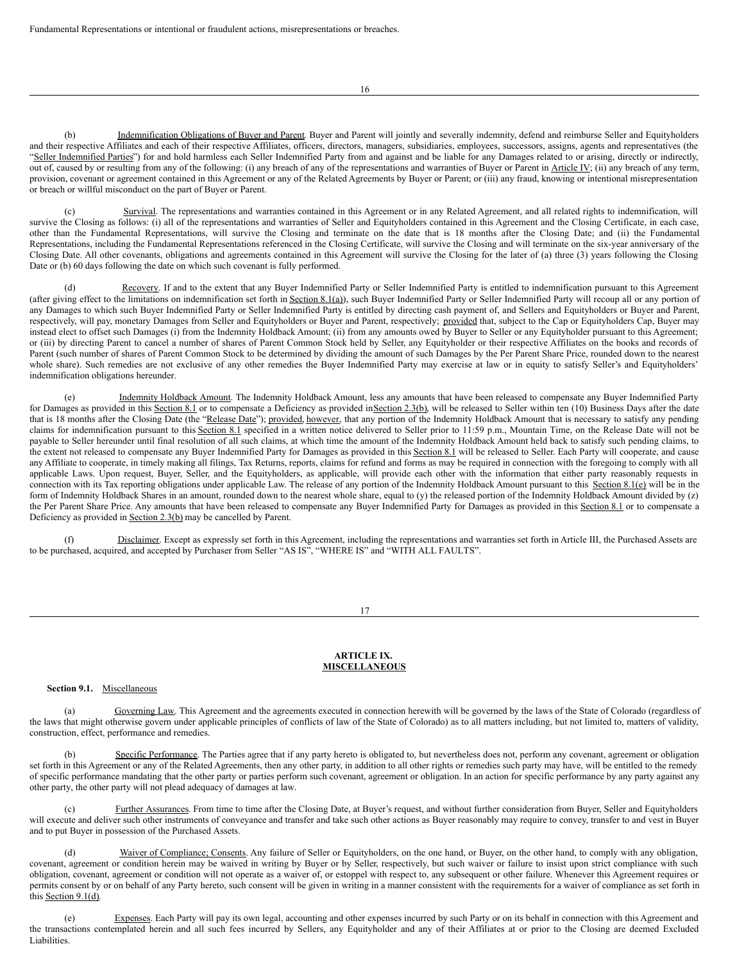16

(b) Indemnification Obligations of Buyer and Parent. Buyer and Parent will jointly and severally indemnity, defend and reimburse Seller and Equityholders and their respective Affiliates and each of their respective Affiliates, officers, directors, managers, subsidiaries, employees, successors, assigns, agents and representatives (the "Seller Indemnified Parties") for and hold harmless each Seller Indemnified Party from and against and be liable for any Damages related to or arising, directly or indirectly, out of, caused by or resulting from any of the following: (i) any breach of any of the representations and warranties of Buyer or Parent in Article IV; (ii) any breach of any term, provision, covenant or agreement contained in this Agreement or any of the Related Agreements by Buyer or Parent; or (iii) any fraud, knowing or intentional misrepresentation or breach or willful misconduct on the part of Buyer or Parent.

(c) Survival. The representations and warranties contained in this Agreement or in any Related Agreement, and all related rights to indemnification, will survive the Closing as follows: (i) all of the representations and warranties of Seller and Equityholders contained in this Agreement and the Closing Certificate, in each case, other than the Fundamental Representations, will survive the Closing and terminate on the date that is 18 months after the Closing Date; and (ii) the Fundamental Representations, including the Fundamental Representations referenced in the Closing Certificate, will survive the Closing and will terminate on the six-year anniversary of the Closing Date. All other covenants, obligations and agreements contained in this Agreement will survive the Closing for the later of (a) three (3) years following the Closing Date or (b) 60 days following the date on which such covenant is fully performed.

(d) Recovery. If and to the extent that any Buyer Indemnified Party or Seller Indemnified Party is entitled to indemnification pursuant to this Agreement (after giving effect to the limitations on indemnification set forth in Section 8.1(a)), such Buyer Indemnified Party or Seller Indemnified Party will recoup all or any portion of any Damages to which such Buyer Indemnified Party or Seller Indemnified Party is entitled by directing cash payment of, and Sellers and Equityholders or Buyer and Parent, respectively, will pay, monetary Damages from Seller and Equityholders or Buyer and Parent, respectively; provided that, subject to the Cap or Equityholders Cap, Buyer may instead elect to offset such Damages (i) from the Indemnity Holdback Amount; (ii) from any amounts owed by Buyer to Seller or any Equityholder pursuant to this Agreement; or (iii) by directing Parent to cancel a number of shares of Parent Common Stock held by Seller, any Equityholder or their respective Affiliates on the books and records of Parent (such number of shares of Parent Common Stock to be determined by dividing the amount of such Damages by the Per Parent Share Price, rounded down to the nearest whole share). Such remedies are not exclusive of any other remedies the Buyer Indemnified Party may exercise at law or in equity to satisfy Seller's and Equityholders' indemnification obligations hereunder.

(e) Indemnity Holdback Amount. The Indemnity Holdback Amount, less any amounts that have been released to compensate any Buyer Indemnified Party for Damages as provided in this Section 8.1 or to compensate a Deficiency as provided in Section 2.3(b), will be released to Seller within ten (10) Business Days after the date that is 18 months after the Closing Date (the "Release Date"); provided, however, that any portion of the Indemnity Holdback Amount that is necessary to satisfy any pending claims for indemnification pursuant to this Section 8.1 specified in a written notice delivered to Seller prior to 11:59 p.m., Mountain Time, on the Release Date will not be payable to Seller hereunder until final resolution of all such claims, at which time the amount of the Indemnity Holdback Amount held back to satisfy such pending claims, to the extent not released to compensate any Buyer Indemnified Party for Damages as provided in this Section 8.1 will be released to Seller. Each Party will cooperate, and cause any Affiliate to cooperate, in timely making all filings, Tax Returns, reports, claims for refund and forms as may be required in connection with the foregoing to comply with all applicable Laws. Upon request, Buyer, Seller, and the Equityholders, as applicable, will provide each other with the information that either party reasonably requests in connection with its Tax reporting obligations under applicable Law. The release of any portion of the Indemnity Holdback Amount pursuant to this Section 8.1(e) will be in the form of Indemnity Holdback Shares in an amount, rounded down to the nearest whole share, equal to (y) the released portion of the Indemnity Holdback Amount divided by (z) the Per Parent Share Price. Any amounts that have been released to compensate any Buyer Indemnified Party for Damages as provided in this Section 8.1 or to compensate a Deficiency as provided in Section 2.3(b) may be cancelled by Parent.

(f) Disclaimer. Except as expressly set forth in this Agreement, including the representations and warranties set forth in Article III, the Purchased Assets are to be purchased, acquired, and accepted by Purchaser from Seller "AS IS", "WHERE IS" and "WITH ALL FAULTS".

#### **ARTICLE IX. MISCELLANEOUS**

## **Section 9.1.** Miscellaneous

Governing Law. This Agreement and the agreements executed in connection herewith will be governed by the laws of the State of Colorado (regardless of the laws that might otherwise govern under applicable principles of conflicts of law of the State of Colorado) as to all matters including, but not limited to, matters of validity, construction, effect, performance and remedies.

(b) Specific Performance. The Parties agree that if any party hereto is obligated to, but nevertheless does not, perform any covenant, agreement or obligation set forth in this Agreement or any of the Related Agreements, then any other party, in addition to all other rights or remedies such party may have, will be entitled to the remedy of specific performance mandating that the other party or parties perform such covenant, agreement or obligation. In an action for specific performance by any party against any other party, the other party will not plead adequacy of damages at law.

(c) Further Assurances. From time to time after the Closing Date, at Buyer's request, and without further consideration from Buyer, Seller and Equityholders will execute and deliver such other instruments of conveyance and transfer and take such other actions as Buyer reasonably may require to convey, transfer to and vest in Buyer and to put Buyer in possession of the Purchased Assets.

(d) Waiver of Compliance; Consents. Any failure of Seller or Equityholders, on the one hand, or Buyer, on the other hand, to comply with any obligation, covenant, agreement or condition herein may be waived in writing by Buyer or by Seller, respectively, but such waiver or failure to insist upon strict compliance with such obligation, covenant, agreement or condition will not operate as a waiver of, or estoppel with respect to, any subsequent or other failure. Whenever this Agreement requires or permits consent by or on behalf of any Party hereto, such consent will be given in writing in a manner consistent with the requirements for a waiver of compliance as set forth in this Section 9.1(d).

(e) Expenses. Each Party will pay its own legal, accounting and other expenses incurred by such Party or on its behalf in connection with this Agreement and the transactions contemplated herein and all such fees incurred by Sellers, any Equityholder and any of their Affiliates at or prior to the Closing are deemed Excluded Liabilities.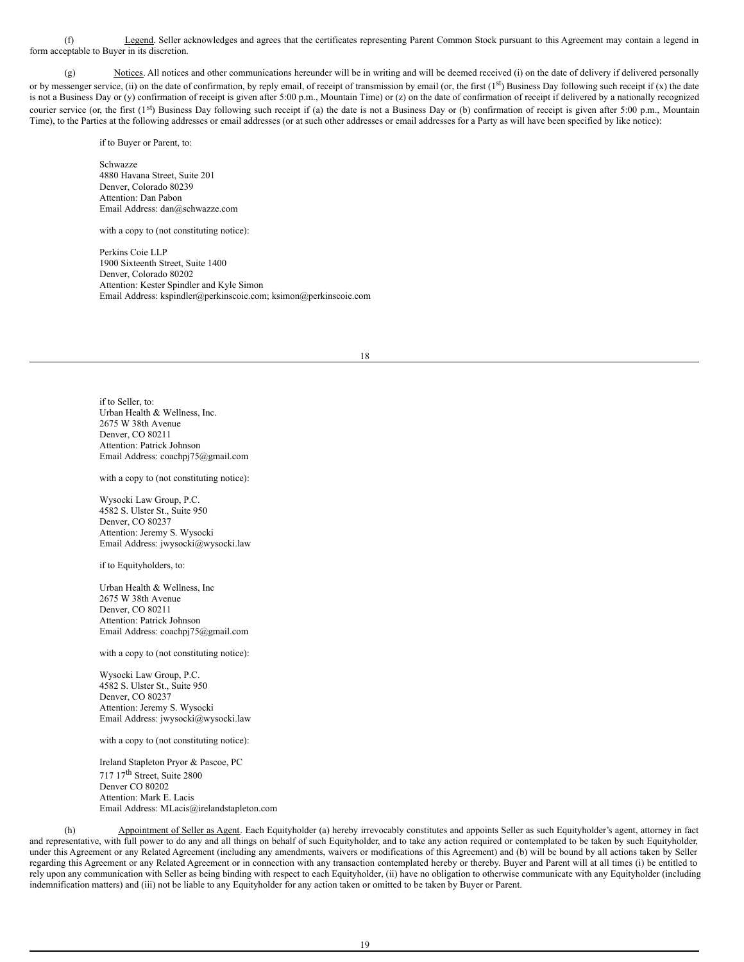(f) Legend. Seller acknowledges and agrees that the certificates representing Parent Common Stock pursuant to this Agreement may contain a legend in form acceptable to Buyer in its discretion.

Notices. All notices and other communications hereunder will be in writing and will be deemed received (i) on the date of delivery if delivered personally or by messenger service, (ii) on the date of confirmation, by reply email, of receipt of transmission by email (or, the first  $(1<sup>st</sup>)$  Business Day following such receipt if (x) the date is not a Business Day or (y) confirmation of receipt is given after 5:00 p.m., Mountain Time) or (z) on the date of confirmation of receipt if delivered by a nationally recognized courier service (or, the first (1<sup>st</sup>) Business Day following such receipt if (a) the date is not a Business Day or (b) confirmation of receipt is given after 5:00 p.m., Mountain Time), to the Parties at the following addresses or email addresses (or at such other addresses or email addresses for a Party as will have been specified by like notice):

if to Buyer or Parent, to:

Schwazze 4880 Havana Street, Suite 201 Denver, Colorado 80239 Attention: Dan Pabon Email Address: dan@schwazze.com

with a copy to (not constituting notice):

Perkins Coie LLP 1900 Sixteenth Street, Suite 1400 Denver, Colorado 80202 Attention: Kester Spindler and Kyle Simon Email Address: kspindler@perkinscoie.com; ksimon@perkinscoie.com

if to Seller, to: Urban Health & Wellness, Inc. 2675 W 38th Avenue Denver, CO 80211 Attention: Patrick Johnson Email Address: coachpj75@gmail.com

with a copy to (not constituting notice):

Wysocki Law Group, P.C. 4582 S. Ulster St., Suite 950 Denver, CO 80237 Attention: Jeremy S. Wysocki Email Address: jwysocki@wysocki.law

if to Equityholders, to:

Urban Health & Wellness, Inc 2675 W 38th Avenue Denver, CO 80211 Attention: Patrick Johnson Email Address: coachpj75@gmail.com

with a copy to (not constituting notice):

Wysocki Law Group, P.C. 4582 S. Ulster St., Suite 950 Denver, CO 80237 Attention: Jeremy S. Wysocki Email Address: jwysocki@wysocki.law

with a copy to (not constituting notice):

Ireland Stapleton Pryor & Pascoe, PC 717 17 th Street, Suite 2800 Denver CO 80202 Attention: Mark E. Lacis Email Address: MLacis@irelandstapleton.com

(h) Appointment of Seller as Agent. Each Equityholder (a) hereby irrevocably constitutes and appoints Seller as such Equityholder's agent, attorney in fact and representative, with full power to do any and all things on behalf of such Equityholder, and to take any action required or contemplated to be taken by such Equityholder, under this Agreement or any Related Agreement (including any amendments, waivers or modifications of this Agreement) and (b) will be bound by all actions taken by Seller regarding this Agreement or any Related Agreement or in connection with any transaction contemplated hereby or thereby. Buyer and Parent will at all times (i) be entitled to rely upon any communication with Seller as being binding with respect to each Equityholder, (ii) have no obligation to otherwise communicate with any Equityholder (including indemnification matters) and (iii) not be liable to any Equityholder for any action taken or omitted to be taken by Buyer or Parent.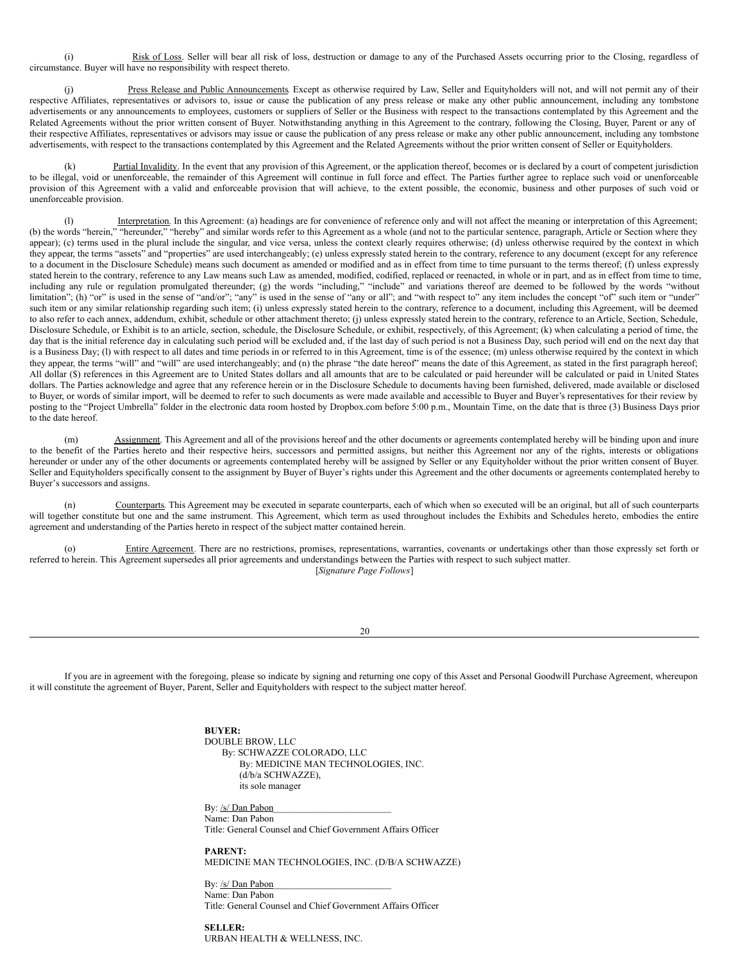Risk of Loss. Seller will bear all risk of loss, destruction or damage to any of the Purchased Assets occurring prior to the Closing, regardless of circumstance. Buyer will have no responsibility with respect thereto.

(j) Press Release and Public Announcements. Except as otherwise required by Law, Seller and Equityholders will not, and will not permit any of their respective Affiliates, representatives or advisors to, issue or cause the publication of any press release or make any other public announcement, including any tombstone advertisements or any announcements to employees, customers or suppliers of Seller or the Business with respect to the transactions contemplated by this Agreement and the Related Agreements without the prior written consent of Buyer. Notwithstanding anything in this Agreement to the contrary, following the Closing, Buyer, Parent or any of their respective Affiliates, representatives or advisors may issue or cause the publication of any press release or make any other public announcement, including any tombstone advertisements, with respect to the transactions contemplated by this Agreement and the Related Agreements without the prior written consent of Seller or Equityholders.

Partial Invalidity. In the event that any provision of this Agreement, or the application thereof, becomes or is declared by a court of competent jurisdiction to be illegal, void or unenforceable, the remainder of this Agreement will continue in full force and effect. The Parties further agree to replace such void or unenforceable provision of this Agreement with a valid and enforceable provision that will achieve, to the extent possible, the economic, business and other purposes of such void or unenforceable provision.

Interpretation<sub>.</sub> In this Agreement: (a) headings are for convenience of reference only and will not affect the meaning or interpretation of this Agreement; (b) the words "herein," "hereunder," "hereby" and similar words refer to this Agreement as a whole (and not to the particular sentence, paragraph, Article or Section where they appear); (c) terms used in the plural include the singular, and vice versa, unless the context clearly requires otherwise; (d) unless otherwise required by the context in which they appear, the terms "assets" and "properties" are used interchangeably; (e) unless expressly stated herein to the contrary, reference to any document (except for any reference to a document in the Disclosure Schedule) means such document as amended or modified and as in effect from time to time pursuant to the terms thereof; (f) unless expressly stated herein to the contrary, reference to any Law means such Law as amended, modified, codified, replaced or reenacted, in whole or in part, and as in effect from time to time, including any rule or regulation promulgated thereunder; (g) the words "including," "include" and variations thereof are deemed to be followed by the words "without limitation"; (h) "or" is used in the sense of "and/or"; "any" is used in the sense of "any or all"; and "with respect to" any item includes the concept "of" such item or "under" such item or any similar relationship regarding such item; (i) unless expressly stated herein to the contrary, reference to a document, including this Agreement, will be deemed to also refer to each annex, addendum, exhibit, schedule or other attachment thereto; (j) unless expressly stated herein to the contrary, reference to an Article, Section, Schedule, Disclosure Schedule, or Exhibit is to an article, section, schedule, the Disclosure Schedule, or exhibit, respectively, of this Agreement; (k) when calculating a period of time, the day that is the initial reference day in calculating such period will be excluded and, if the last day of such period is not a Business Day, such period will end on the next day that is a Business Day; (I) with respect to all dates and time periods in or referred to in this Agreement, time is of the essence; (m) unless otherwise required by the context in which they appear, the terms "will" and "will" are used interchangeably; and (n) the phrase "the date hereof" means the date of this Agreement, as stated in the first paragraph hereof; All dollar (\$) references in this Agreement are to United States dollars and all amounts that are to be calculated or paid hereunder will be calculated or paid in United States dollars. The Parties acknowledge and agree that any reference herein or in the Disclosure Schedule to documents having been furnished, delivered, made available or disclosed to Buyer, or words of similar import, will be deemed to refer to such documents as were made available and accessible to Buyer and Buyer's representatives for their review by posting to the "Project Umbrella" folder in the electronic data room hosted by Dropbox.com before 5:00 p.m., Mountain Time, on the date that is three (3) Business Days prior to the date hereof.

(m) Assignment. This Agreement and all of the provisions hereof and the other documents or agreements contemplated hereby will be binding upon and inure to the benefit of the Parties hereto and their respective heirs, successors and permitted assigns, but neither this Agreement nor any of the rights, interests or obligations hereunder or under any of the other documents or agreements contemplated hereby will be assigned by Seller or any Equityholder without the prior written consent of Buyer. Seller and Equityholders specifically consent to the assignment by Buyer of Buyer's rights under this Agreement and the other documents or agreements contemplated hereby to Buyer's successors and assigns.

(n) Counterparts*.* This Agreement may be executed in separate counterparts, each of which when so executed will be an original, but all of such counterparts will together constitute but one and the same instrument. This Agreement, which term as used throughout includes the Exhibits and Schedules hereto, embodies the entire agreement and understanding of the Parties hereto in respect of the subject matter contained herein.

(o) Entire Agreement*.* There are no restrictions, promises, representations, warranties, covenants or undertakings other than those expressly set forth or referred to herein. This Agreement supersedes all prior agreements and understandings between the Parties with respect to such subject matter. [*Signature Page Follows*]

20

If you are in agreement with the foregoing, please so indicate by signing and returning one copy of this Asset and Personal Goodwill Purchase Agreement, whereupon it will constitute the agreement of Buyer, Parent, Seller and Equityholders with respect to the subject matter hereof.

> **BUYER:** DOUBLE BROW, LLC By: SCHWAZZE COLORADO, LLC By: MEDICINE MAN TECHNOLOGIES, INC. (d/b/a SCHWAZZE), its sole manager

By: /s/ Dan Pabon Name: Dan Pabon Title: General Counsel and Chief Government Affairs Officer

**PARENT:** MEDICINE MAN TECHNOLOGIES, INC. (D/B/A SCHWAZZE)

By: /s/ Dan Pabon Name: Dan Pabon Title: General Counsel and Chief Government Affairs Officer

**SELLER:** URBAN HEALTH & WELLNESS, INC.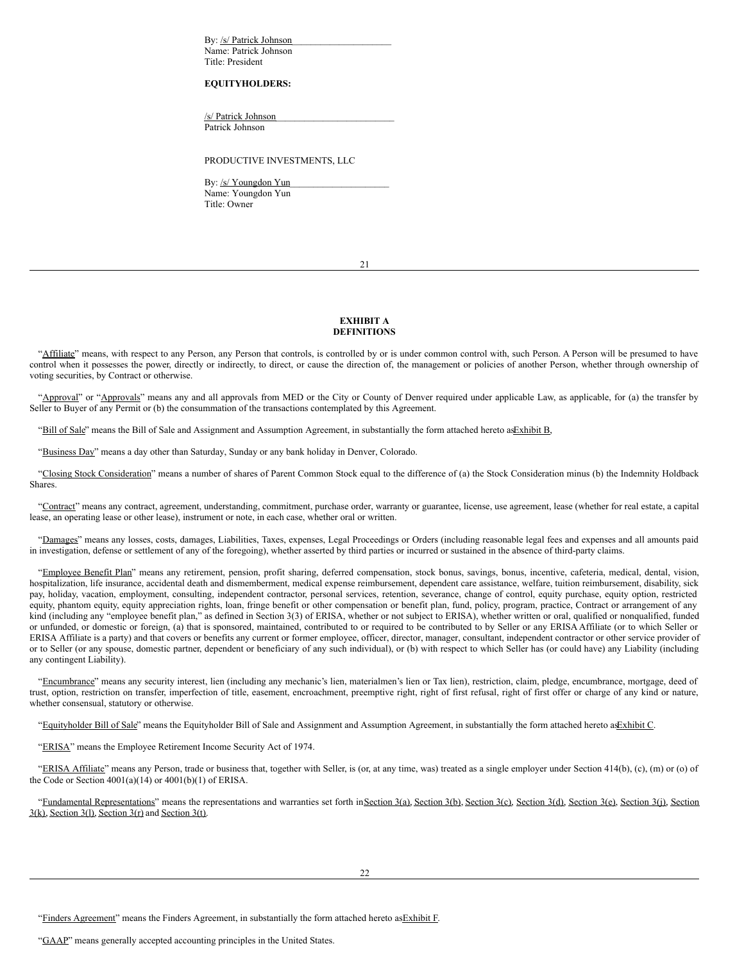By: /s/ Patrick Johnson Name: Patrick Johnson Title: President

#### **EQUITYHOLDERS:**

/s/ Patrick Johnson\_\_\_\_\_\_\_\_\_\_\_\_\_\_\_\_\_\_\_\_\_\_\_\_\_ Patrick Johnson

PRODUCTIVE INVESTMENTS, LLC

By: /s/ Youngdon Yun Name: Youngdon Yun Title: Owner

21

## **EXHIBIT A DEFINITIONS**

"Affiliate" means, with respect to any Person, any Person that controls, is controlled by or is under common control with, such Person. A Person will be presumed to have control when it possesses the power, directly or indirectly, to direct, or cause the direction of, the management or policies of another Person, whether through ownership of voting securities, by Contract or otherwise.

"Approval" or "Approvals" means any and all approvals from MED or the City or County of Denver required under applicable Law, as applicable, for (a) the transfer by Seller to Buyer of any Permit or (b) the consummation of the transactions contemplated by this Agreement.

"Bill of Sale" means the Bill of Sale and Assignment and Assumption Agreement, in substantially the form attached hereto as exhibit B,

"Business Day" means a day other than Saturday, Sunday or any bank holiday in Denver, Colorado.

"Closing Stock Consideration" means a number of shares of Parent Common Stock equal to the difference of (a) the Stock Consideration minus (b) the Indemnity Holdback Shares.

"Contract" means any contract, agreement, understanding, commitment, purchase order, warranty or guarantee, license, use agreement, lease (whether for real estate, a capital lease, an operating lease or other lease), instrument or note, in each case, whether oral or written.

"Damages" means any losses, costs, damages, Liabilities, Taxes, expenses, Legal Proceedings or Orders (including reasonable legal fees and expenses and all amounts paid in investigation, defense or settlement of any of the foregoing), whether asserted by third parties or incurred or sustained in the absence of third-party claims.

"Employee Benefit Plan" means any retirement, pension, profit sharing, deferred compensation, stock bonus, savings, bonus, incentive, cafeteria, medical, dental, vision, hospitalization, life insurance, accidental death and dismemberment, medical expense reimbursement, dependent care assistance, welfare, tuition reimbursement, disability, sick pay, holiday, vacation, employment, consulting, independent contractor, personal services, retention, severance, change of control, equity purchase, equity option, restricted equity, phantom equity, equity appreciation rights, loan, fringe benefit or other compensation or benefit plan, fund, policy, program, practice, Contract or arrangement of any kind (including any "employee benefit plan," as defined in Section 3(3) of ERISA, whether or not subject to ERISA), whether written or oral, qualified or nonqualified, funded or unfunded, or domestic or foreign, (a) that is sponsored, maintained, contributed to or required to be contributed to by Seller or any ERISA Affiliate (or to which Seller or ERISA Affiliate is a party) and that covers or benefits any current or former employee, officer, director, manager, consultant, independent contractor or other service provider of or to Seller (or any spouse, domestic partner, dependent or beneficiary of any such individual), or (b) with respect to which Seller has (or could have) any Liability (including any contingent Liability).

"Encumbrance" means any security interest, lien (including any mechanic's lien, materialmen's lien or Tax lien), restriction, claim, pledge, encumbrance, mortgage, deed of trust, option, restriction on transfer, imperfection of title, easement, encroachment, preemptive right, right of first refusal, right of first offer or charge of any kind or nature, whether consensual, statutory or otherwise.

"Equityholder Bill of Sale" means the Equityholder Bill of Sale and Assignment and Assumption Agreement, in substantially the form attached hereto as Exhibit C.

"ERISA" means the Employee Retirement Income Security Act of 1974.

"ERISA Affiliate" means any Person, trade or business that, together with Seller, is (or, at any time, was) treated as a single employer under Section 414(b), (c), (m) or (o) of the Code or Section  $4001(a)(14)$  or  $4001(b)(1)$  of ERISA.

"Fundamental Representations" means the representations and warranties set forth in Section 3(a), Section 3(b), Section 3(c), Section 3(d), Section 3(e), Section 3(e), Section 3(j), Section  $3(k)$ , Section 3(1), Section 3(r) and Section 3(t).

"Finders Agreement" means the Finders Agreement, in substantially the form attached hereto as Exhibit F.

<sup>&</sup>quot;GAAP" means generally accepted accounting principles in the United States.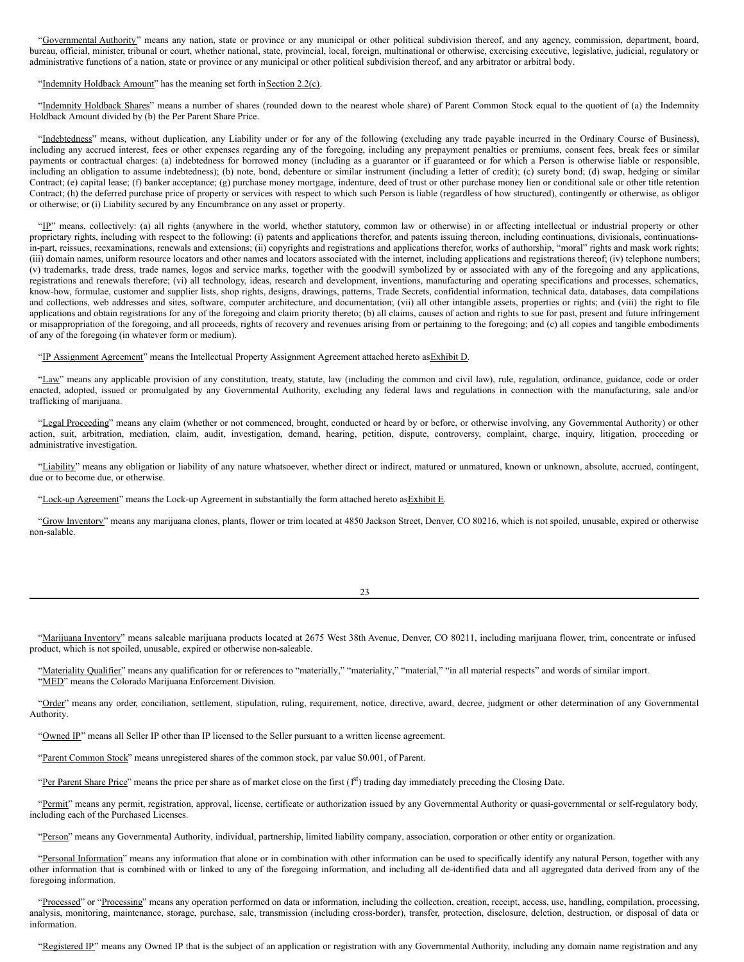"Governmental Authority" means any nation, state or province or any municipal or other political subdivision thereof, and any agency, commission, department, board, bureau, official, minister, tribunal or court, whether national, state, provincial, local, foreign, multinational or otherwise, exercising executive, legislative, judicial, regulatory or administrative functions of a nation, state or province or any municipal or other political subdivision thereof, and any arbitrator or arbitral body.

## "Indemnity Holdback Amount" has the meaning set forth in Section 2.2(c).

"Indemnity Holdback Shares" means a number of shares (rounded down to the nearest whole share) of Parent Common Stock equal to the quotient of (a) the Indemnity Holdback Amount divided by (b) the Per Parent Share Price.

"Indebtedness" means, without duplication, any Liability under or for any of the following (excluding any trade payable incurred in the Ordinary Course of Business), including any accrued interest, fees or other expenses regarding any of the foregoing, including any prepayment penalties or premiums, consent fees, break fees or similar payments or contractual charges: (a) indebtedness for borrowed money (including as a guarantor or if guaranteed or for which a Person is otherwise liable or responsible, including an obligation to assume indebtedness); (b) note, bond, debenture or similar instrument (including a letter of credit); (c) surety bond; (d) swap, hedging or similar Contract; (e) capital lease; (f) banker acceptance; (g) purchase money mortgage, indenture, deed of trust or other purchase money lien or conditional sale or other title retention Contract; (h) the deferred purchase price of property or services with respect to which such Person is liable (regardless of how structured), contingently or otherwise, as obligor or otherwise; or (i) Liability secured by any Encumbrance on any asset or property.

"IP" means, collectively: (a) all rights (anywhere in the world, whether statutory, common law or otherwise) in or affecting intellectual or industrial property or other proprietary rights, including with respect to the following: (i) patents and applications therefor, and patents issuing thereon, including continuations, divisionals, continuationsin-part, reissues, reexaminations, renewals and extensions; (ii) copyrights and registrations and applications therefor, works of authorship, "moral" rights and mask work rights; (iii) domain names, uniform resource locators and other names and locators associated with the internet, including applications and registrations thereof; (iv) telephone numbers; (v) trademarks, trade dress, trade names, logos and service marks, together with the goodwill symbolized by or associated with any of the foregoing and any applications, registrations and renewals therefore; (vi) all technology, ideas, research and development, inventions, manufacturing and operating specifications and processes, schematics, know-how, formulae, customer and supplier lists, shop rights, designs, drawings, patterns, Trade Secrets, confidential information, technical data, databases, data compilations and collections, web addresses and sites, software, computer architecture, and documentation; (vii) all other intangible assets, properties or rights; and (viii) the right to file applications and obtain registrations for any of the foregoing and claim priority thereto; (b) all claims, causes of action and rights to sue for past, present and future infringement or misappropriation of the foregoing, and all proceeds, rights of recovery and revenues arising from or pertaining to the foregoing; and (c) all copies and tangible embodiments of any of the foregoing (in whatever form or medium).

"IP Assignment Agreement" means the Intellectual Property Assignment Agreement attached hereto asExhibit D.

"Law" means any applicable provision of any constitution, treaty, statute, law (including the common and civil law), rule, regulation, ordinance, guidance, code or order enacted, adopted, issued or promulgated by any Governmental Authority, excluding any federal laws and regulations in connection with the manufacturing, sale and/or trafficking of marijuana.

"Legal Proceeding" means any claim (whether or not commenced, brought, conducted or heard by or before, or otherwise involving, any Governmental Authority) or other action, suit, arbitration, mediation, claim, audit, investigation, demand, hearing, petition, dispute, controversy, complaint, charge, inquiry, litigation, proceeding or administrative investigation.

"Liability" means any obligation or liability of any nature whatsoever, whether direct or indirect, matured or unmatured, known or unknown, absolute, accrued, contingent, due or to become due, or otherwise.

"Lock-up Agreement" means the Lock-up Agreement in substantially the form attached hereto as Exhibit E.

"Grow Inventory" means any marijuana clones, plants, flower or trim located at 4850 Jackson Street, Denver, CO 80216, which is not spoiled, unusable, expired or otherwise non-salable.

"Marijuana Inventory" means saleable marijuana products located at 2675 West 38th Avenue, Denver, CO 80211, including marijuana flower, trim, concentrate or infused product, which is not spoiled, unusable, expired or otherwise non-saleable.

"Materiality Qualifier" means any qualification for or references to "materially," "materiality," "material," "in all material respects" and words of similar import. "MED" means the Colorado Marijuana Enforcement Division.

"Order" means any order, conciliation, settlement, stipulation, ruling, requirement, notice, directive, award, decree, judgment or other determination of any Governmental Authority.

"Owned IP" means all Seller IP other than IP licensed to the Seller pursuant to a written license agreement.

"Parent Common Stock" means unregistered shares of the common stock, par value \$0.001, of Parent.

"Per Parent Share Price" means the price per share as of market close on the first (I<sup>st</sup>) trading day immediately preceding the Closing Date.

"Permit" means any permit, registration, approval, license, certificate or authorization issued by any Governmental Authority or quasi-governmental or self-regulatory body, including each of the Purchased Licenses.

"Person" means any Governmental Authority, individual, partnership, limited liability company, association, corporation or other entity or organization.

"Personal Information" means any information that alone or in combination with other information can be used to specifically identify any natural Person, together with any other information that is combined with or linked to any of the foregoing information, and including all de-identified data and all aggregated data derived from any of the foregoing information.

"Processed" or "Processing" means any operation performed on data or information, including the collection, creation, receipt, access, use, handling, compilation, processing, analysis, monitoring, maintenance, storage, purchase, sale, transmission (including cross-border), transfer, protection, disclosure, deletion, destruction, or disposal of data or information.

"Registered IP" means any Owned IP that is the subject of an application or registration with any Governmental Authority, including any domain name registration and any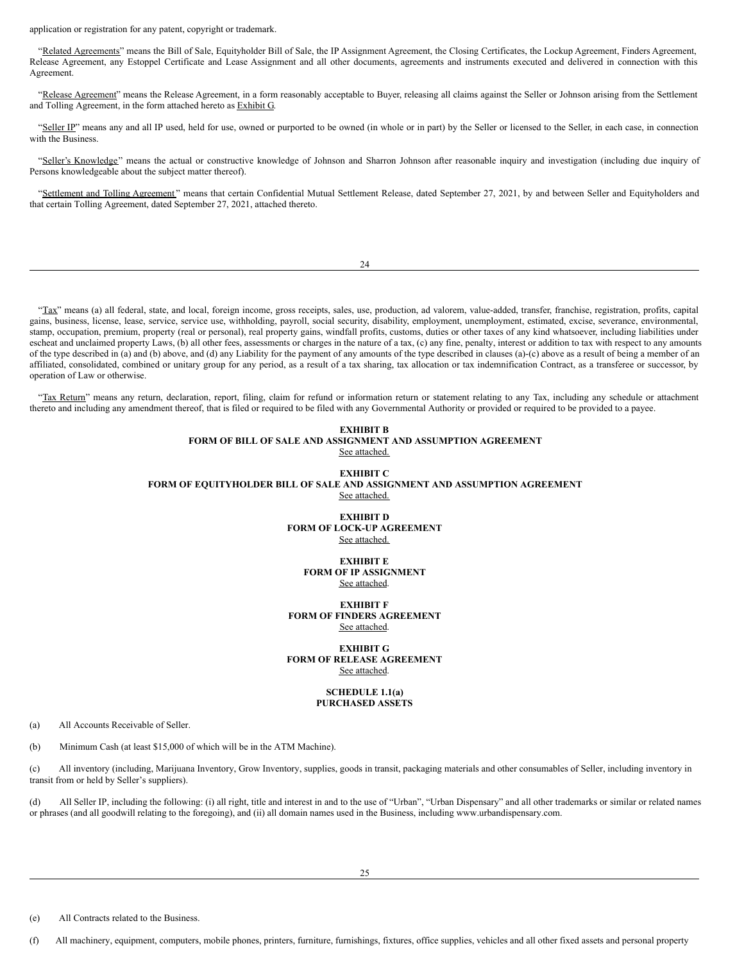application or registration for any patent, copyright or trademark.

"Related Agreements" means the Bill of Sale, Equityholder Bill of Sale, the IP Assignment Agreement, the Closing Certificates, the Lockup Agreement, Finders Agreement, Release Agreement, any Estoppel Certificate and Lease Assignment and all other documents, agreements and instruments executed and delivered in connection with this Agreement.

"Release Agreement" means the Release Agreement, in a form reasonably acceptable to Buyer, releasing all claims against the Seller or Johnson arising from the Settlement and Tolling Agreement, in the form attached hereto as Exhibit G.

"Seller IP" means any and all IP used, held for use, owned or purported to be owned (in whole or in part) by the Seller or licensed to the Seller, in each case, in connection with the Business.

"Seller's Knowledge" means the actual or constructive knowledge of Johnson and Sharron Johnson after reasonable inquiry and investigation (including due inquiry of Persons knowledgeable about the subject matter thereof).

"Settlement and Tolling Agreement" means that certain Confidential Mutual Settlement Release, dated September 27, 2021, by and between Seller and Equityholders and that certain Tolling Agreement, dated September 27, 2021, attached thereto.

24

"Tax" means (a) all federal, state, and local, foreign income, gross receipts, sales, use, production, ad valorem, value-added, transfer, franchise, registration, profits, capital gains, business, license, lease, service, service use, withholding, payroll, social security, disability, employment, unemployment, estimated, excise, severance, environmental, stamp, occupation, premium, property (real or personal), real property gains, windfall profits, customs, duties or other taxes of any kind whatsoever, including liabilities under escheat and unclaimed property Laws, (b) all other fees, assessments or charges in the nature of a tax, (c) any fine, penalty, interest or addition to tax with respect to any amounts of the type described in (a) and (b) above, and (d) any Liability for the payment of any amounts of the type described in clauses (a)-(c) above as a result of being a member of an affiliated, consolidated, combined or unitary group for any period, as a result of a tax sharing, tax allocation or tax indemnification Contract, as a transferee or successor, by operation of Law or otherwise.

"Tax Return" means any return, declaration, report, filing, claim for refund or information return or statement relating to any Tax, including any schedule or attachment thereto and including any amendment thereof, that is filed or required to be filed with any Governmental Authority or provided or required to be provided to a payee.

#### **EXHIBIT B FORM OF BILL OF SALE AND ASSIGNMENT AND ASSUMPTION AGREEMENT** See attached.

**EXHIBIT C FORM OF EQUITYHOLDER BILL OF SALE AND ASSIGNMENT AND ASSUMPTION AGREEMENT**

See attached.

**EXHIBIT D FORM OF LOCK-UP AGREEMENT** See attached.

> **EXHIBIT E FORM OF IP ASSIGNMENT** See attached.

**EXHIBIT F FORM OF FINDERS AGREEMENT** See attached.

**EXHIBIT G FORM OF RELEASE AGREEMENT** See attached.

#### **SCHEDULE 1.1(a) PURCHASED ASSETS**

(a) All Accounts Receivable of Seller.

(b) Minimum Cash (at least \$15,000 of which will be in the ATM Machine).

(c) All inventory (including, Marijuana Inventory, Grow Inventory, supplies, goods in transit, packaging materials and other consumables of Seller, including inventory in transit from or held by Seller's suppliers).

(d) All Seller IP, including the following: (i) all right, title and interest in and to the use of "Urban", "Urban Dispensary" and all other trademarks or similar or related names or phrases (and all goodwill relating to the foregoing), and (ii) all domain names used in the Business, including www.urbandispensary.com.

(e) All Contracts related to the Business.

(f) All machinery, equipment, computers, mobile phones, printers, furniture, furnishings, fixtures, office supplies, vehicles and all other fixed assets and personal property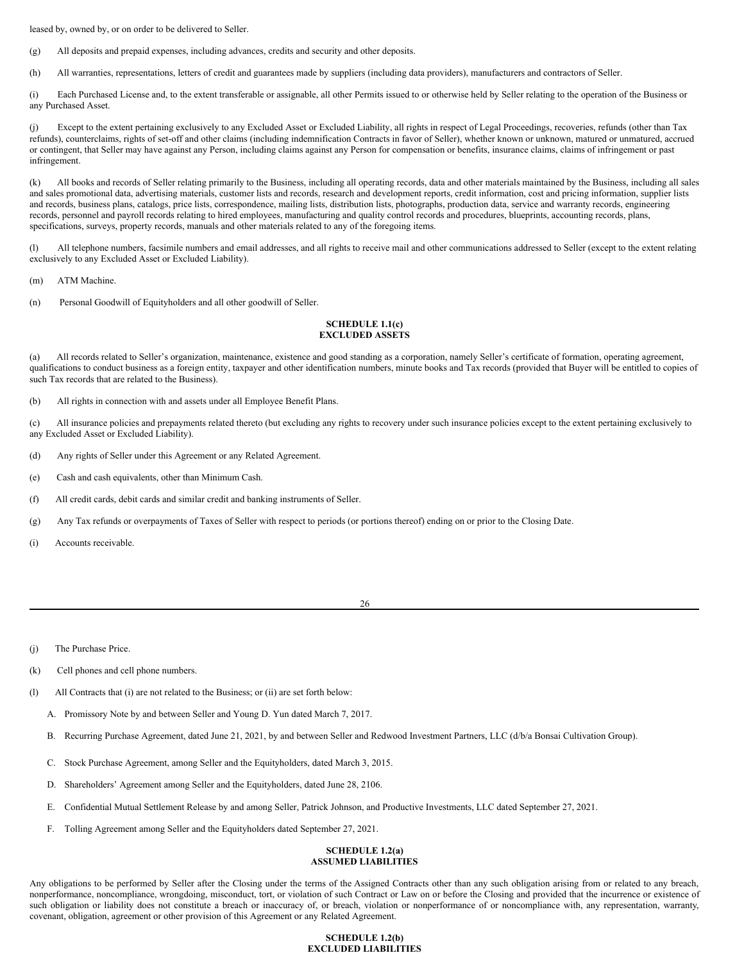leased by, owned by, or on order to be delivered to Seller.

(g) All deposits and prepaid expenses, including advances, credits and security and other deposits.

(h) All warranties, representations, letters of credit and guarantees made by suppliers (including data providers), manufacturers and contractors of Seller.

(i) Each Purchased License and, to the extent transferable or assignable, all other Permits issued to or otherwise held by Seller relating to the operation of the Business or any Purchased Asset.

(j) Except to the extent pertaining exclusively to any Excluded Asset or Excluded Liability, all rights in respect of Legal Proceedings, recoveries, refunds (other than Tax refunds), counterclaims, rights of set-off and other claims (including indemnification Contracts in favor of Seller), whether known or unknown, matured or unmatured, accrued or contingent, that Seller may have against any Person, including claims against any Person for compensation or benefits, insurance claims, claims of infringement or past infringement.

(k) All books and records of Seller relating primarily to the Business, including all operating records, data and other materials maintained by the Business, including all sales and sales promotional data, advertising materials, customer lists and records, research and development reports, credit information, cost and pricing information, supplier lists and records, business plans, catalogs, price lists, correspondence, mailing lists, distribution lists, photographs, production data, service and warranty records, engineering records, personnel and payroll records relating to hired employees, manufacturing and quality control records and procedures, blueprints, accounting records, plans, specifications, surveys, property records, manuals and other materials related to any of the foregoing items.

(l) All telephone numbers, facsimile numbers and email addresses, and all rights to receive mail and other communications addressed to Seller (except to the extent relating exclusively to any Excluded Asset or Excluded Liability).

(m) ATM Machine.

(n) Personal Goodwill of Equityholders and all other goodwill of Seller.

#### **SCHEDULE 1.1(c) EXCLUDED ASSETS**

(a) All records related to Seller's organization, maintenance, existence and good standing as a corporation, namely Seller's certificate of formation, operating agreement, qualifications to conduct business as a foreign entity, taxpayer and other identification numbers, minute books and Tax records (provided that Buyer will be entitled to copies of such Tax records that are related to the Business).

(b) All rights in connection with and assets under all Employee Benefit Plans.

(c) All insurance policies and prepayments related thereto (but excluding any rights to recovery under such insurance policies except to the extent pertaining exclusively to any Excluded Asset or Excluded Liability).

(d) Any rights of Seller under this Agreement or any Related Agreement.

(e) Cash and cash equivalents, other than Minimum Cash.

(f) All credit cards, debit cards and similar credit and banking instruments of Seller.

(g) Any Tax refunds or overpayments of Taxes of Seller with respect to periods (or portions thereof) ending on or prior to the Closing Date.

(i) Accounts receivable.

26

(j) The Purchase Price.

(k) Cell phones and cell phone numbers.

(l) All Contracts that (i) are not related to the Business; or (ii) are set forth below:

A. Promissory Note by and between Seller and Young D. Yun dated March 7, 2017.

B. Recurring Purchase Agreement, dated June 21, 2021, by and between Seller and Redwood Investment Partners, LLC (d/b/a Bonsai Cultivation Group).

C. Stock Purchase Agreement, among Seller and the Equityholders, dated March 3, 2015.

D. Shareholders' Agreement among Seller and the Equityholders, dated June 28, 2106.

E. Confidential Mutual Settlement Release by and among Seller, Patrick Johnson, and Productive Investments, LLC dated September 27, 2021.

F. Tolling Agreement among Seller and the Equityholders dated September 27, 2021.

### **SCHEDULE 1.2(a) ASSUMED LIABILITIES**

Any obligations to be performed by Seller after the Closing under the terms of the Assigned Contracts other than any such obligation arising from or related to any breach, nonperformance, noncompliance, wrongdoing, misconduct, tort, or violation of such Contract or Law on or before the Closing and provided that the incurrence or existence of such obligation or liability does not constitute a breach or inaccuracy of, or breach, violation or nonperformance of or noncompliance with, any representation, warranty, covenant, obligation, agreement or other provision of this Agreement or any Related Agreement.

## **SCHEDULE 1.2(b) EXCLUDED LIABILITIES**